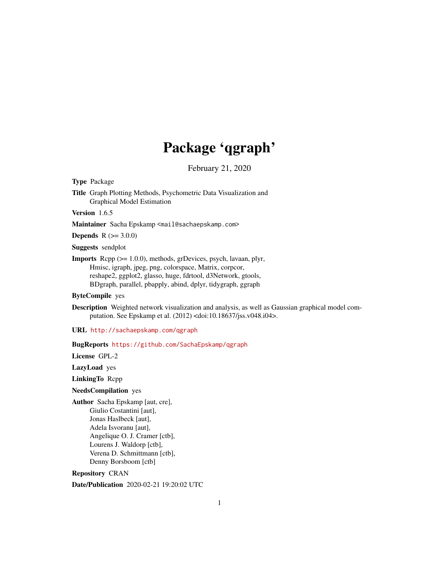# Package 'qgraph'

February 21, 2020

<span id="page-0-0"></span>Type Package

Title Graph Plotting Methods, Psychometric Data Visualization and Graphical Model Estimation

Version 1.6.5

Maintainer Sacha Epskamp <mail@sachaepskamp.com>

**Depends**  $R (= 3.0.0)$ 

Suggests sendplot

Imports Rcpp (>= 1.0.0), methods, grDevices, psych, lavaan, plyr, Hmisc, igraph, jpeg, png, colorspace, Matrix, corpcor, reshape2, ggplot2, glasso, huge, fdrtool, d3Network, gtools, BDgraph, parallel, pbapply, abind, dplyr, tidygraph, ggraph

ByteCompile yes

Description Weighted network visualization and analysis, as well as Gaussian graphical model computation. See Epskamp et al. (2012) <doi:10.18637/jss.v048.i04>.

URL <http://sachaepskamp.com/qgraph>

BugReports <https://github.com/SachaEpskamp/qgraph>

License GPL-2

LazyLoad yes

LinkingTo Rcpp

NeedsCompilation yes

Author Sacha Epskamp [aut, cre], Giulio Costantini [aut], Jonas Haslbeck [aut], Adela Isvoranu [aut], Angelique O. J. Cramer [ctb], Lourens J. Waldorp [ctb], Verena D. Schmittmann [ctb], Denny Borsboom [ctb]

Repository CRAN

Date/Publication 2020-02-21 19:20:02 UTC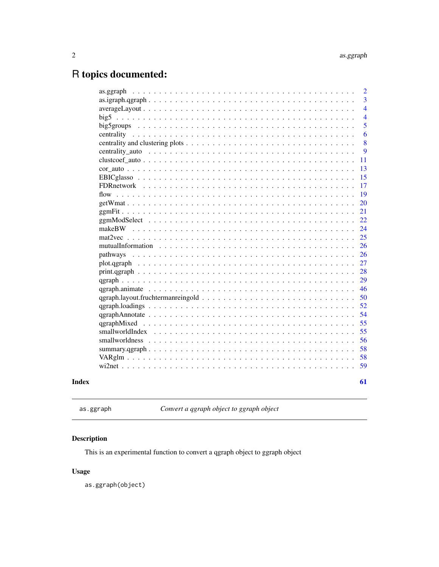## <span id="page-1-0"></span>R topics documented:

|                 | $\overline{2}$ |
|-----------------|----------------|
|                 | 3              |
|                 | $\overline{4}$ |
|                 | $\overline{4}$ |
|                 | 5              |
|                 | 6              |
|                 | 8              |
|                 | 9              |
|                 | 11             |
|                 | 13             |
|                 | 15             |
|                 | 17             |
| flow            | 19             |
|                 | 20             |
|                 | 21             |
|                 | 22             |
|                 | 24             |
|                 | 25             |
|                 | 26             |
| pathways        | 26             |
|                 | 27             |
|                 | 28             |
|                 | 29             |
|                 | 46             |
|                 | 50             |
|                 | 52             |
|                 | 54             |
|                 | 55             |
| smallworldIndex | 55             |
|                 | 56             |
|                 | 58             |
|                 | 58             |
|                 | 59             |
|                 | 61             |
|                 |                |

as.ggraph *Convert a qgraph object to ggraph object*

### Description

This is an experimental function to convert a qgraph object to ggraph object

### Usage

as.ggraph(object)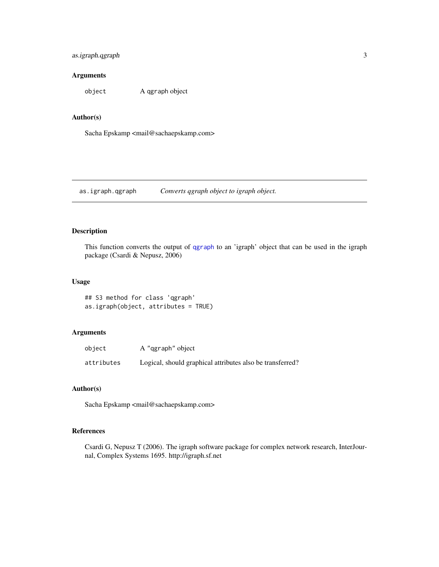#### <span id="page-2-0"></span>as.igraph.qgraph 3

#### Arguments

object A qgraph object

#### Author(s)

Sacha Epskamp <mail@sachaepskamp.com>

as.igraph.qgraph *Converts qgraph object to igraph object.*

#### Description

This function converts the output of [qgraph](#page-28-1) to an 'igraph' object that can be used in the igraph package (Csardi & Nepusz, 2006)

#### Usage

## S3 method for class 'qgraph' as.igraph(object, attributes = TRUE)

#### Arguments

| object     | A "qgraph" object                                         |
|------------|-----------------------------------------------------------|
| attributes | Logical, should graphical attributes also be transferred? |

#### Author(s)

Sacha Epskamp <mail@sachaepskamp.com>

#### References

Csardi G, Nepusz T (2006). The igraph software package for complex network research, InterJournal, Complex Systems 1695. http://igraph.sf.net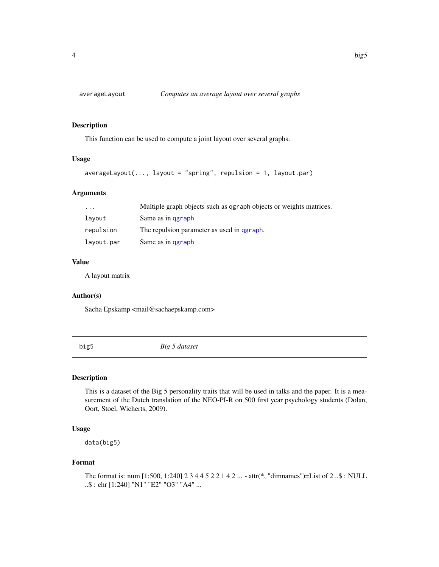<span id="page-3-0"></span>

#### Description

This function can be used to compute a joint layout over several graphs.

#### Usage

```
averagedLayout(..., layout = "spring", repulsion = 1, layout.par)
```
#### Arguments

| $\cdot$    | Multiple graph objects such as ggraph objects or weights matrices. |
|------------|--------------------------------------------------------------------|
| layout     | Same as in garaph                                                  |
| repulsion  | The repulsion parameter as used in graph.                          |
| layout.par | Same as in garaph                                                  |

#### Value

A layout matrix

#### Author(s)

Sacha Epskamp <mail@sachaepskamp.com>

big5 *Big 5 dataset*

#### Description

This is a dataset of the Big 5 personality traits that will be used in talks and the paper. It is a measurement of the Dutch translation of the NEO-PI-R on 500 first year psychology students (Dolan, Oort, Stoel, Wicherts, 2009).

#### Usage

data(big5)

#### Format

The format is: num [1:500, 1:240] 2 3 4 4 5 2 2 1 4 2 ... - attr(\*, "dimnames")=List of 2 ..\$ : NULL ..\$ : chr [1:240] "N1" "E2" "O3" "A4" ...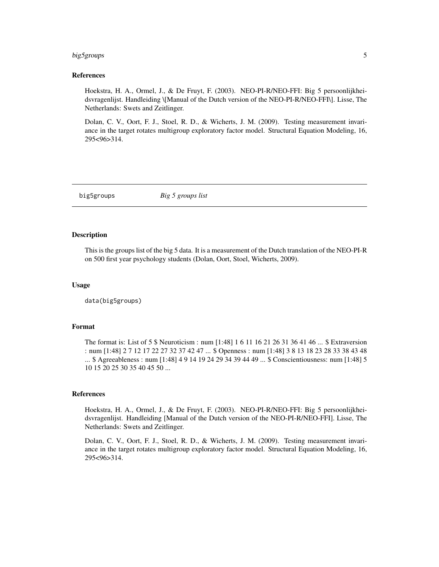#### <span id="page-4-0"></span>big5groups 5

#### References

Hoekstra, H. A., Ormel, J., & De Fruyt, F. (2003). NEO-PI-R/NEO-FFI: Big 5 persoonlijkheidsvragenlijst. Handleiding \[Manual of the Dutch version of the NEO-PI-R/NEO-FFI\]. Lisse, The Netherlands: Swets and Zeitlinger.

Dolan, C. V., Oort, F. J., Stoel, R. D., & Wicherts, J. M. (2009). Testing measurement invariance in the target rotates multigroup exploratory factor model. Structural Equation Modeling, 16, 295<96>314.

big5groups *Big 5 groups list*

#### Description

This is the groups list of the big 5 data. It is a measurement of the Dutch translation of the NEO-PI-R on 500 first year psychology students (Dolan, Oort, Stoel, Wicherts, 2009).

#### Usage

data(big5groups)

#### Format

The format is: List of 5 \$ Neuroticism : num [1:48] 1 6 11 16 21 26 31 36 41 46 ... \$ Extraversion : num [1:48] 2 7 12 17 22 27 32 37 42 47 ... \$ Openness : num [1:48] 3 8 13 18 23 28 33 38 43 48 ... \$ Agreeableness : num [1:48] 4 9 14 19 24 29 34 39 44 49 ... \$ Conscientiousness: num [1:48] 5 10 15 20 25 30 35 40 45 50 ...

#### References

Hoekstra, H. A., Ormel, J., & De Fruyt, F. (2003). NEO-PI-R/NEO-FFI: Big 5 persoonlijkheidsvragenlijst. Handleiding [Manual of the Dutch version of the NEO-PI-R/NEO-FFI]. Lisse, The Netherlands: Swets and Zeitlinger.

Dolan, C. V., Oort, F. J., Stoel, R. D., & Wicherts, J. M. (2009). Testing measurement invariance in the target rotates multigroup exploratory factor model. Structural Equation Modeling, 16, 295<96>314.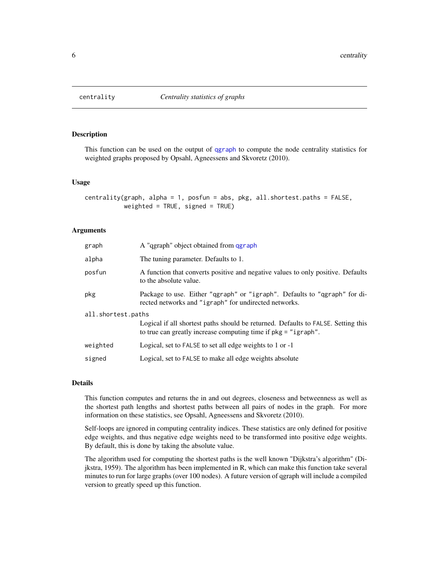<span id="page-5-1"></span><span id="page-5-0"></span>

#### Description

This function can be used on the output of [qgraph](#page-28-1) to compute the node centrality statistics for weighted graphs proposed by Opsahl, Agneessens and Skvoretz (2010).

#### Usage

```
centrality(graph, alpha = 1, posfun = abs, pkg, all.shortest.paths = FALSE,
           weighted = TRUE, signed = TRUE)
```
#### **Arguments**

| graph              | A "qgraph" object obtained from qgraph                                                                                                              |  |  |  |
|--------------------|-----------------------------------------------------------------------------------------------------------------------------------------------------|--|--|--|
| alpha              | The tuning parameter. Defaults to 1.                                                                                                                |  |  |  |
| posfun             | A function that converts positive and negative values to only positive. Defaults<br>to the absolute value.                                          |  |  |  |
| pkg                | Package to use. Either "qgraph" or "igraph". Defaults to "qgraph" for di-<br>rected networks and "igraph" for undirected networks.                  |  |  |  |
| all.shortest.paths |                                                                                                                                                     |  |  |  |
|                    | Logical if all shortest paths should be returned. Defaults to FALSE. Setting this<br>to true can greatly increase computing time if pkg = "igraph". |  |  |  |
| weighted           | Logical, set to FALSE to set all edge weights to 1 or -1                                                                                            |  |  |  |
| signed             | Logical, set to FALSE to make all edge weights absolute                                                                                             |  |  |  |

#### Details

This function computes and returns the in and out degrees, closeness and betweenness as well as the shortest path lengths and shortest paths between all pairs of nodes in the graph. For more information on these statistics, see Opsahl, Agneessens and Skvoretz (2010).

Self-loops are ignored in computing centrality indices. These statistics are only defined for positive edge weights, and thus negative edge weights need to be transformed into positive edge weights. By default, this is done by taking the absolute value.

The algorithm used for computing the shortest paths is the well known "Dijkstra's algorithm" (Dijkstra, 1959). The algorithm has been implemented in R, which can make this function take several minutes to run for large graphs (over 100 nodes). A future version of qgraph will include a compiled version to greatly speed up this function.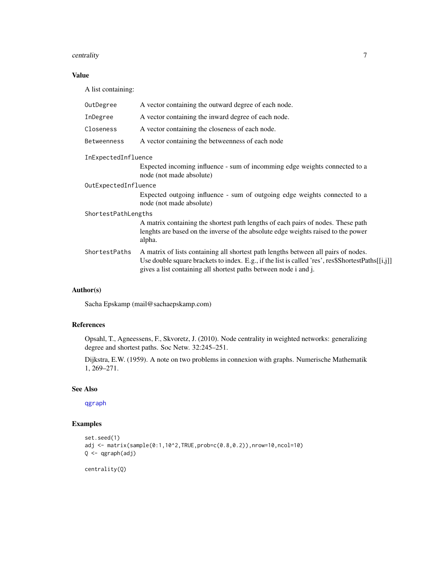#### <span id="page-6-0"></span>centrality 7

#### Value

A list containing:

| OutDegree            | A vector containing the outward degree of each node.                                                                                                                                                                                                        |  |  |
|----------------------|-------------------------------------------------------------------------------------------------------------------------------------------------------------------------------------------------------------------------------------------------------------|--|--|
| InDegree             | A vector containing the inward degree of each node.                                                                                                                                                                                                         |  |  |
| Closeness            | A vector containing the closeness of each node.                                                                                                                                                                                                             |  |  |
| Betweenness          | A vector containing the betweenness of each node                                                                                                                                                                                                            |  |  |
| InExpectedInfluence  |                                                                                                                                                                                                                                                             |  |  |
|                      | Expected incoming influence - sum of incomming edge weights connected to a<br>node (not made absolute)                                                                                                                                                      |  |  |
| OutExpectedInfluence |                                                                                                                                                                                                                                                             |  |  |
|                      | Expected outgoing influence - sum of outgoing edge weights connected to a<br>node (not made absolute)                                                                                                                                                       |  |  |
| ShortestPathLengths  |                                                                                                                                                                                                                                                             |  |  |
|                      | A matrix containing the shortest path lengths of each pairs of nodes. These path<br>lenghts are based on the inverse of the absolute edge weights raised to the power<br>alpha.                                                                             |  |  |
| ShortestPaths        | A matrix of lists containing all shortest path lengths between all pairs of nodes.<br>Use double square brackets to index. E.g., if the list is called 'res', res\$ShortestPaths[[i,j]]<br>gives a list containing all shortest paths between node i and j. |  |  |
|                      |                                                                                                                                                                                                                                                             |  |  |

#### Author(s)

Sacha Epskamp (mail@sachaepskamp.com)

#### References

Opsahl, T., Agneessens, F., Skvoretz, J. (2010). Node centrality in weighted networks: generalizing degree and shortest paths. Soc Netw. 32:245–251.

Dijkstra, E.W. (1959). A note on two problems in connexion with graphs. Numerische Mathematik 1, 269–271.

#### See Also

[qgraph](#page-28-1)

#### Examples

```
set.seed(1)
adj <- matrix(sample(0:1,10^2,TRUE,prob=c(0.8,0.2)),nrow=10,ncol=10)
Q <- qgraph(adj)
```
centrality(Q)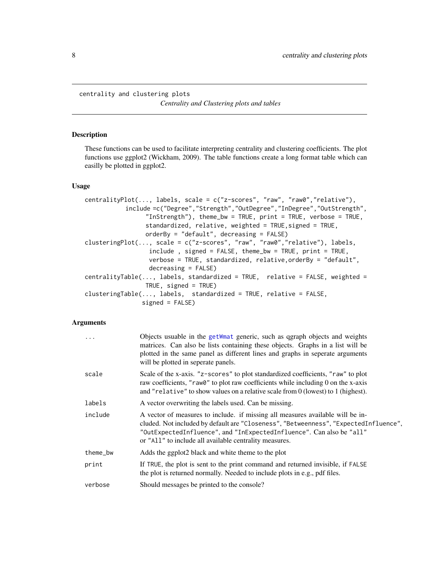<span id="page-7-0"></span>centrality and clustering plots *Centrality and Clustering plots and tables*

#### Description

These functions can be used to facilitate interpreting centrality and clustering coefficients. The plot functions use ggplot2 (Wickham, 2009). The table functions create a long format table which can easilly be plotted in ggplot2.

#### Usage

```
centralityPlot(..., labels, scale = c("z-scores", "raw", "raw0","relative"),
           include =c("Degree","Strength","OutDegree","InDegree","OutStrength",
                 "InStrength"), theme_bw = TRUE, print = TRUE, verbose = TRUE,
                 standardized, relative, weighted = TRUE, signed = TRUE,
                 orderBy = "default", decreasing = FALSE)
clusteringPlot(..., scale = c("z-scores", "raw", "raw0","relative"), labels,
                 include , signed = FALSE, theme_bw = TRUE, print = TRUE,
                  verbose = TRUE, standardized, relative,orderBy = "default",
                  decreasing = FALSE)
centralityTable(..., labels, standardized = TRUE, relative = FALSE, weighted =
                TRUE, signed = TRUE)
clusteringTable(..., labels, standardized = TRUE, relative = FALSE,
                signed = FALSE)
```
#### Arguments

| .        | Objects usuable in the getWmat generic, such as qgraph objects and weights<br>matrices. Can also be lists containing these objects. Graphs in a list will be<br>plotted in the same panel as different lines and graphs in seperate arguments<br>will be plotted in seperate panels.                     |
|----------|----------------------------------------------------------------------------------------------------------------------------------------------------------------------------------------------------------------------------------------------------------------------------------------------------------|
| scale    | Scale of the x-axis. "z-scores" to plot standardized coefficients, "raw" to plot<br>raw coefficients, "raw0" to plot raw coefficients while including 0 on the x-axis<br>and "relative" to show values on a relative scale from 0 (lowest) to 1 (highest).                                               |
| labels   | A vector overwriting the labels used. Can be missing.                                                                                                                                                                                                                                                    |
| include  | A vector of measures to include. if missing all measures available will be in-<br>cluded. Not included by default are "Closeness", "Betweenness", "ExpectedInfluence",<br>"OutExpectedInfluence", and "InExpectedInfluence". Can also be "all"<br>or "All" to include all available centrality measures. |
| theme_bw | Adds the ggplot2 black and white theme to the plot                                                                                                                                                                                                                                                       |
| print    | If TRUE, the plot is sent to the print command and returned invisible, if FALSE<br>the plot is returned normally. Needed to include plots in e.g., pdf files.                                                                                                                                            |
| verbose  | Should messages be printed to the console?                                                                                                                                                                                                                                                               |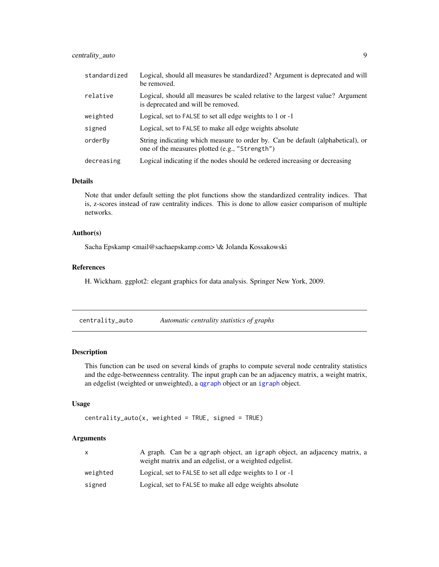#### <span id="page-8-0"></span>centrality\_auto 9

| standardized | Logical, should all measures be standardized? Argument is deprecated and will<br>be removed.                                     |
|--------------|----------------------------------------------------------------------------------------------------------------------------------|
| relative     | Logical, should all measures be scaled relative to the largest value? Argument<br>is deprecated and will be removed.             |
| weighted     | Logical, set to FALSE to set all edge weights to 1 or -1                                                                         |
| signed       | Logical, set to FALSE to make all edge weights absolute                                                                          |
| orderBy      | String indicating which measure to order by. Can be default (alphabetical), or<br>one of the measures plotted (e.g., "Strength") |
| decreasing   | Logical indicating if the nodes should be ordered increasing or decreasing                                                       |

#### Details

Note that under default setting the plot functions show the standardized centrality indices. That is, z-scores instead of raw centrality indices. This is done to allow easier comparison of multiple networks.

#### Author(s)

Sacha Epskamp <mail@sachaepskamp.com> \& Jolanda Kossakowski

#### References

H. Wickham. ggplot2: elegant graphics for data analysis. Springer New York, 2009.

<span id="page-8-1"></span>

| centrality_auto | Automatic centrality statistics of graphs |  |  |
|-----------------|-------------------------------------------|--|--|
|                 |                                           |  |  |

#### Description

This function can be used on several kinds of graphs to compute several node centrality statistics and the edge-betweenness centrality. The input graph can be an adjacency matrix, a weight matrix, an edgelist (weighted or unweighted), a [qgraph](#page-28-1) object or an [igraph](#page-0-0) object.

#### Usage

```
centrality_auto(x, weighted = TRUE, signed = TRUE)
```
#### Arguments

|          | A graph. Can be a qgraph object, an igraph object, an adjacency matrix, a<br>weight matrix and an edgelist, or a weighted edgelist. |
|----------|-------------------------------------------------------------------------------------------------------------------------------------|
| weighted | Logical, set to FALSE to set all edge weights to 1 or -1                                                                            |
| signed   | Logical, set to FALSE to make all edge weights absolute                                                                             |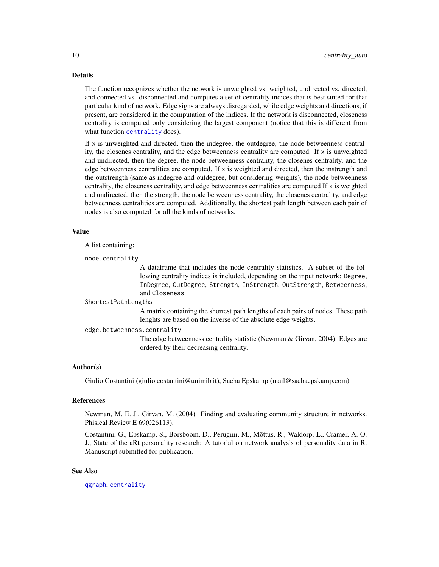#### <span id="page-9-0"></span>Details

The function recognizes whether the network is unweighted vs. weighted, undirected vs. directed, and connected vs. disconnected and computes a set of centrality indices that is best suited for that particular kind of network. Edge signs are always disregarded, while edge weights and directions, if present, are considered in the computation of the indices. If the network is disconnected, closeness centrality is computed only considering the largest component (notice that this is different from what function [centrality](#page-5-1) does).

If x is unweighted and directed, then the indegree, the outdegree, the node betweenness centrality, the closenes centrality, and the edge betweenness centrality are computed. If x is unweighted and undirected, then the degree, the node betweenness centrality, the closenes centrality, and the edge betweenness centralities are computed. If x is weighted and directed, then the instrength and the outstrength (same as indegree and outdegree, but considering weights), the node betweenness centrality, the closeness centrality, and edge betweenness centralities are computed If x is weighted and undirected, then the strength, the node betweenness centrality, the closenes centrality, and edge betweenness centralities are computed. Additionally, the shortest path length between each pair of nodes is also computed for all the kinds of networks.

#### Value

A list containing:

node.centrality

A dataframe that includes the node centrality statistics. A subset of the following centrality indices is included, depending on the input network: Degree, InDegree, OutDegree, Strength, InStrength, OutStrength, Betweenness, and Closeness.

#### ShortestPathLengths

A matrix containing the shortest path lengths of each pairs of nodes. These path lenghts are based on the inverse of the absolute edge weights.

#### edge.betweenness.centrality

The edge betweenness centrality statistic (Newman & Girvan, 2004). Edges are ordered by their decreasing centrality.

#### Author(s)

Giulio Costantini (giulio.costantini@unimib.it), Sacha Epskamp (mail@sachaepskamp.com)

#### References

Newman, M. E. J., Girvan, M. (2004). Finding and evaluating community structure in networks. Phisical Review E 69(026113).

Costantini, G., Epskamp, S., Borsboom, D., Perugini, M., Mõttus, R., Waldorp, L., Cramer, A. O. J., State of the aRt personality research: A tutorial on network analysis of personality data in R. Manuscript submitted for publication.

#### See Also

[qgraph](#page-28-1), [centrality](#page-5-1)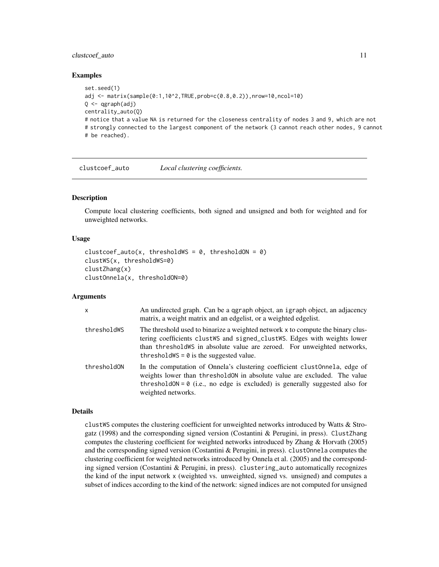#### <span id="page-10-0"></span>clustcoef\_auto 11

#### Examples

```
set.seed(1)
adj <- matrix(sample(0:1,10^2,TRUE,prob=c(0.8,0.2)),nrow=10,ncol=10)
Q \leftarrow qgraph(adj)
centrality_auto(Q)
# notice that a value NA is returned for the closeness centrality of nodes 3 and 9, which are not
# strongly connected to the largest component of the network (3 cannot reach other nodes, 9 cannot
# be reached).
```
clustcoef\_auto *Local clustering coefficients.*

#### Description

Compute local clustering coefficients, both signed and unsigned and both for weighted and for unweighted networks.

#### Usage

```
cluster_auto(x, thresholdWS = 0, thresholdON = 0)clustWS(x, thresholdWS=0)
clustZhang(x)
clustOnnela(x, thresholdON=0)
```
#### Arguments

| $\mathsf{x}$ | An undirected graph. Can be a qgraph object, an igraph object, an adjacency<br>matrix, a weight matrix and an edgelist, or a weighted edgelist.                                                                                                                                           |
|--------------|-------------------------------------------------------------------------------------------------------------------------------------------------------------------------------------------------------------------------------------------------------------------------------------------|
| thresholdWS  | The threshold used to binarize a weighted network x to compute the binary clus-<br>tering coefficients clustWS and signed_clustWS. Edges with weights lower<br>than threshold ws in absolute value are zeroed. For unweighted networks,<br>threshold $\theta$ = 0 is the suggested value. |
| thresholdON  | In the computation of Onnela's clustering coefficient clustOnnela, edge of<br>weights lower than threshold ON in absolute value are excluded. The value<br>threshold $ON = 0$ (i.e., no edge is excluded) is generally suggested also for<br>weighted networks.                           |

#### Details

clustWS computes the clustering coefficient for unweighted networks introduced by Watts & Strogatz (1998) and the corresponding signed version (Costantini & Perugini, in press). ClustZhang computes the clustering coefficient for weighted networks introduced by Zhang & Horvath (2005) and the corresponding signed version (Costantini & Perugini, in press). clustOnnela computes the clustering coefficient for weighted networks introduced by Onnela et al. (2005) and the corresponding signed version (Costantini  $&$  Perugini, in press). clustering\_auto automatically recognizes the kind of the input network x (weighted vs. unweighted, signed vs. unsigned) and computes a subset of indices according to the kind of the network: signed indices are not computed for unsigned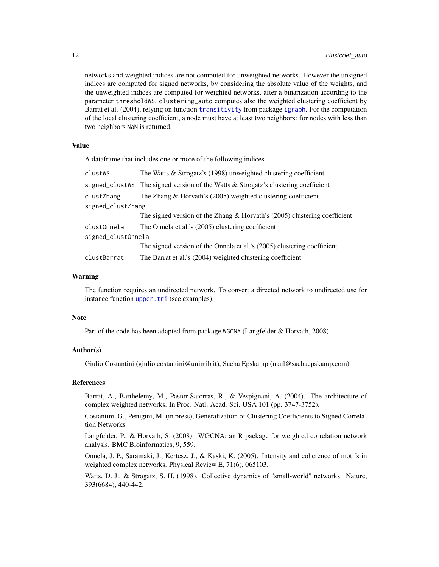<span id="page-11-0"></span>networks and weighted indices are not computed for unweighted networks. However the unsigned indices are computed for signed networks, by considering the absolute value of the weights, and the unweighted indices are computed for weighted networks, after a binarization according to the parameter thresholdWS. clustering\_auto computes also the weighted clustering coefficient by Barrat et al. (2004), relying on function [transitivity](#page-0-0) from package [igraph](#page-0-0). For the computation of the local clustering coefficient, a node must have at least two neighbors: for nodes with less than two neighbors NaN is returned.

#### Value

A dataframe that includes one or more of the following indices.

| clustWS            | The Watts $&$ Strogatz's (1998) unweighted clustering coefficient                    |  |
|--------------------|--------------------------------------------------------------------------------------|--|
|                    | signed_clustWS The signed version of the Watts $&$ Strogatz's clustering coefficient |  |
| clustZhang         | The Zhang $& Horvath's (2005)$ weighted clustering coefficient                       |  |
| signed_clustZhang  |                                                                                      |  |
|                    | The signed version of the Zhang & Horvath's $(2005)$ clustering coefficient          |  |
| clustOnnela        | The Onnela et al.'s (2005) clustering coefficient                                    |  |
| signed_clustOnnela |                                                                                      |  |
|                    | The signed version of the Onnela et al.'s (2005) clustering coefficient              |  |
| clustBarrat        | The Barrat et al.'s (2004) weighted clustering coefficient                           |  |

#### Warning

The function requires an undirected network. To convert a directed network to undirected use for instance function [upper.tri](#page-0-0) (see examples).

#### **Note**

Part of the code has been adapted from package WGCNA (Langfelder & Horvath, 2008).

### Author(s)

Giulio Costantini (giulio.costantini@unimib.it), Sacha Epskamp (mail@sachaepskamp.com)

#### References

Barrat, A., Barthelemy, M., Pastor-Satorras, R., & Vespignani, A. (2004). The architecture of complex weighted networks. In Proc. Natl. Acad. Sci. USA 101 (pp. 3747-3752).

Costantini, G., Perugini, M. (in press), Generalization of Clustering Coefficients to Signed Correlation Networks

Langfelder, P., & Horvath, S. (2008). WGCNA: an R package for weighted correlation network analysis. BMC Bioinformatics, 9, 559.

Onnela, J. P., Saramaki, J., Kertesz, J., & Kaski, K. (2005). Intensity and coherence of motifs in weighted complex networks. Physical Review E, 71(6), 065103.

Watts, D. J., & Strogatz, S. H. (1998). Collective dynamics of "small-world" networks. Nature, 393(6684), 440-442.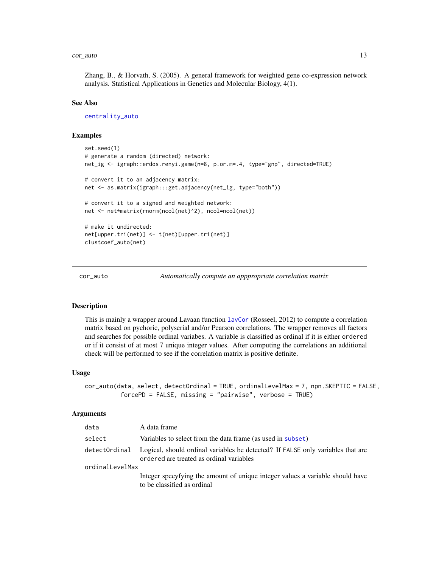#### <span id="page-12-0"></span>cor\_auto 13

Zhang, B., & Horvath, S. (2005). A general framework for weighted gene co-expression network analysis. Statistical Applications in Genetics and Molecular Biology, 4(1).

#### See Also

[centrality\\_auto](#page-8-1)

#### Examples

```
set.seed(1)
# generate a random (directed) network:
net_ig <- igraph::erdos.renyi.game(n=8, p.or.m=.4, type="gnp", directed=TRUE)
# convert it to an adjacency matrix:
net <- as.matrix(igraph:::get.adjacency(net_ig, type="both"))
# convert it to a signed and weighted network:
net <- net*matrix(rnorm(ncol(net)^2), ncol=ncol(net))
# make it undirected:
net[upper.tri(net)] <- t(net)[upper.tri(net)]
clustcoef_auto(net)
```
<span id="page-12-1"></span>cor\_auto *Automatically compute an apppropriate correlation matrix*

#### Description

This is mainly a wrapper around Lavaan function [lavCor](#page-0-0) (Rosseel, 2012) to compute a correlation matrix based on pychoric, polyserial and/or Pearson correlations. The wrapper removes all factors and searches for possible ordinal variabes. A variable is classified as ordinal if it is either ordered or if it consist of at most 7 unique integer values. After computing the correlations an additional check will be performed to see if the correlation matrix is positive definite.

#### Usage

```
cor_auto(data, select, detectOrdinal = TRUE, ordinalLevelMax = 7, npn.SKEPTIC = FALSE,
          forcePD = FALSE, missing = "pairwise", verbose = TRUE)
```
#### Arguments

| data            | A data frame                                                                                                                              |
|-----------------|-------------------------------------------------------------------------------------------------------------------------------------------|
| select          | Variables to select from the data frame (as used in subset)                                                                               |
|                 | detect0rdinal Logical, should ordinal variables be detected? If FALSE only variables that are<br>ordered are treated as ordinal variables |
| ordinalLevelMax |                                                                                                                                           |
|                 | Integer specyfying the amount of unique integer values a variable should have<br>to be classified as ordinal                              |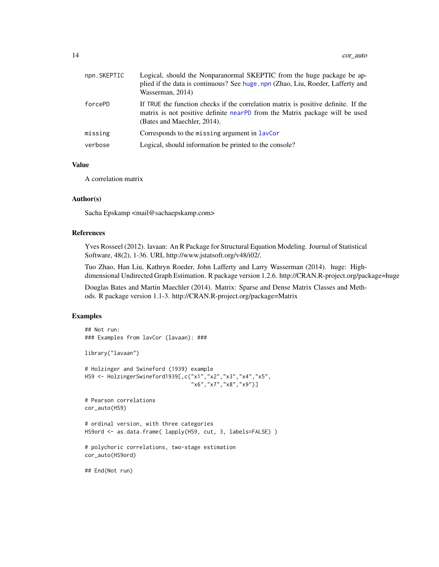<span id="page-13-0"></span>

| npn.SKEPTIC | Logical, should the Nonparanormal SKEPTIC from the huge package be ap-<br>plied if the data is continuous? See huge.npn (Zhao, Liu, Roeder, Lafferty and<br>Wasserman, 2014)                     |
|-------------|--------------------------------------------------------------------------------------------------------------------------------------------------------------------------------------------------|
| forcePD     | If TRUE the function checks if the correlation matrix is positive definite. If the<br>matrix is not positive definite nearPD from the Matrix package will be used<br>(Bates and Maechler, 2014). |
| missing     | Corresponds to the missing argument in layCor                                                                                                                                                    |
| verbose     | Logical, should information be printed to the console?                                                                                                                                           |

#### Value

A correlation matrix

#### Author(s)

Sacha Epskamp <mail@sachaepskamp.com>

#### References

Yves Rosseel (2012). lavaan: An R Package for Structural Equation Modeling. Journal of Statistical Software, 48(2), 1-36. URL http://www.jstatsoft.org/v48/i02/.

Tuo Zhao, Han Liu, Kathryn Roeder, John Lafferty and Larry Wasserman (2014). huge: Highdimensional Undirected Graph Estimation. R package version 1.2.6. http://CRAN.R-project.org/package=huge

Douglas Bates and Martin Maechler (2014). Matrix: Sparse and Dense Matrix Classes and Methods. R package version 1.1-3. http://CRAN.R-project.org/package=Matrix

#### Examples

```
## Not run:
### Examples from lavCor (lavaan): ###
library("lavaan")
# Holzinger and Swineford (1939) example
HS9 <- HolzingerSwineford1939[,c("x1","x2","x3","x4","x5",
                                 "x6","x7","x8","x9")]
# Pearson correlations
cor_auto(HS9)
# ordinal version, with three categories
HS9ord <- as.data.frame( lapply(HS9, cut, 3, labels=FALSE) )
# polychoric correlations, two-stage estimation
cor_auto(HS9ord)
## End(Not run)
```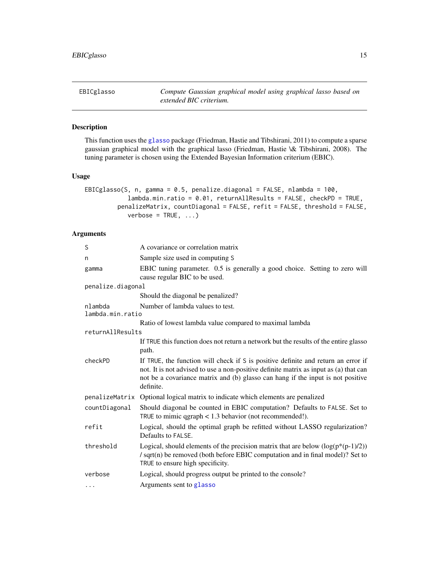<span id="page-14-1"></span><span id="page-14-0"></span>EBICglasso *Compute Gaussian graphical model using graphical lasso based on extended BIC criterium.*

#### Description

This function uses the [glasso](#page-0-0) package (Friedman, Hastie and Tibshirani, 2011) to compute a sparse gaussian graphical model with the graphical lasso (Friedman, Hastie \& Tibshirani, 2008). The tuning parameter is chosen using the Extended Bayesian Information criterium (EBIC).

#### Usage

```
EBICglasso(S, n, gamma = 0.5, penalize.diagonal = FALSE, nlambda = 100,
            lambda.min.ratio = 0.01, returnAllResults = FALSE, checkPD = TRUE,
         penalizeMatrix, countDiagonal = FALSE, refit = FALSE, threshold = FALSE,
            verbose = TRUE, ...)
```
#### Arguments

| S                           | A covariance or correlation matrix                                                                                                                                                                                                                                         |  |
|-----------------------------|----------------------------------------------------------------------------------------------------------------------------------------------------------------------------------------------------------------------------------------------------------------------------|--|
| n                           | Sample size used in computing S                                                                                                                                                                                                                                            |  |
| gamma                       | EBIC tuning parameter. 0.5 is generally a good choice. Setting to zero will<br>cause regular BIC to be used.                                                                                                                                                               |  |
| penalize.diagonal           |                                                                                                                                                                                                                                                                            |  |
|                             | Should the diagonal be penalized?                                                                                                                                                                                                                                          |  |
| nlambda<br>lambda.min.ratio | Number of lambda values to test.                                                                                                                                                                                                                                           |  |
|                             | Ratio of lowest lambda value compared to maximal lambda                                                                                                                                                                                                                    |  |
| returnAllResults            |                                                                                                                                                                                                                                                                            |  |
|                             | If TRUE this function does not return a network but the results of the entire glasso<br>path.                                                                                                                                                                              |  |
| checkPD                     | If TRUE, the function will check if S is positive definite and return an error if<br>not. It is not advised to use a non-positive definite matrix as input as (a) that can<br>not be a covariance matrix and (b) glasso can hang if the input is not positive<br>definite. |  |
|                             | penalizeMatrix Optional logical matrix to indicate which elements are penalized                                                                                                                                                                                            |  |
| countDiagonal               | Should diagonal be counted in EBIC computation? Defaults to FALSE. Set to<br>TRUE to mimic $qgraph < 1.3$ behavior (not recommended!).                                                                                                                                     |  |
| refit                       | Logical, should the optimal graph be refitted without LASSO regularization?<br>Defaults to FALSE.                                                                                                                                                                          |  |
| threshold                   | Logical, should elements of the precision matrix that are below $(\log(p*(p-1)/2))$<br>/ sqrt(n) be removed (both before EBIC computation and in final model)? Set to<br>TRUE to ensure high specificity.                                                                  |  |
| verbose                     | Logical, should progress output be printed to the console?                                                                                                                                                                                                                 |  |
| $\cdots$                    | Arguments sent to glasso                                                                                                                                                                                                                                                   |  |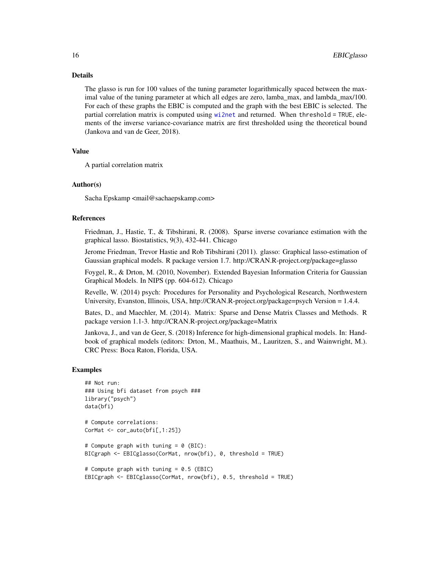#### <span id="page-15-0"></span>Details

The glasso is run for 100 values of the tuning parameter logarithmically spaced between the maximal value of the tuning parameter at which all edges are zero, lamba\_max, and lambda\_max/100. For each of these graphs the EBIC is computed and the graph with the best EBIC is selected. The partial correlation matrix is computed using [wi2net](#page-58-1) and returned. When threshold = TRUE, elements of the inverse variance-covariance matrix are first thresholded using the theoretical bound (Jankova and van de Geer, 2018).

#### Value

A partial correlation matrix

#### Author(s)

Sacha Epskamp <mail@sachaepskamp.com>

#### References

Friedman, J., Hastie, T., & Tibshirani, R. (2008). Sparse inverse covariance estimation with the graphical lasso. Biostatistics, 9(3), 432-441. Chicago

Jerome Friedman, Trevor Hastie and Rob Tibshirani (2011). glasso: Graphical lasso-estimation of Gaussian graphical models. R package version 1.7. http://CRAN.R-project.org/package=glasso

Foygel, R., & Drton, M. (2010, November). Extended Bayesian Information Criteria for Gaussian Graphical Models. In NIPS (pp. 604-612). Chicago

Revelle, W. (2014) psych: Procedures for Personality and Psychological Research, Northwestern University, Evanston, Illinois, USA, http://CRAN.R-project.org/package=psych Version = 1.4.4.

Bates, D., and Maechler, M. (2014). Matrix: Sparse and Dense Matrix Classes and Methods. R package version 1.1-3. http://CRAN.R-project.org/package=Matrix

Jankova, J., and van de Geer, S. (2018) Inference for high-dimensional graphical models. In: Handbook of graphical models (editors: Drton, M., Maathuis, M., Lauritzen, S., and Wainwright, M.). CRC Press: Boca Raton, Florida, USA.

#### Examples

```
## Not run:
### Using bfi dataset from psych ###
library("psych")
data(bfi)
# Compute correlations:
CorMat <- cor_auto(bfi[,1:25])
# Compute graph with tuning = 0 (BIC):
BICgraph <- EBICglasso(CorMat, nrow(bfi), 0, threshold = TRUE)
# Compute graph with tuning = 0.5 (EBIC)
EBICgraph <- EBICglasso(CorMat, nrow(bfi), 0.5, threshold = TRUE)
```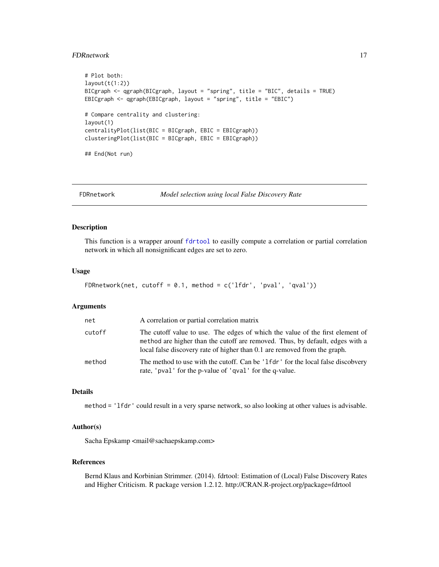#### <span id="page-16-0"></span>FDRnetwork 17

```
# Plot both:
layout(t(1:2))BICgraph <- qgraph(BICgraph, layout = "spring", title = "BIC", details = TRUE)
EBICgraph <- qgraph(EBICgraph, layout = "spring", title = "EBIC")
# Compare centrality and clustering:
layout(1)
centralityPlot(list(BIC = BICgraph, EBIC = EBICgraph))
clusteringPlot(list(BIC = BICgraph, EBIC = EBICgraph))
## End(Not run)
```
<span id="page-16-1"></span>

FDRnetwork *Model selection using local False Discovery Rate*

#### Description

This function is a wrapper arounf [fdrtool](#page-0-0) to easilly compute a correlation or partial correlation network in which all nonsignificant edges are set to zero.

#### Usage

```
FDRnetwork(net, cutoff = 0.1, method = c('1fdr', 'pval', 'qval'))
```
#### Arguments

| net    | A correlation or partial correlation matrix                                                                                                                                                                                                 |
|--------|---------------------------------------------------------------------------------------------------------------------------------------------------------------------------------------------------------------------------------------------|
| cutoff | The cutoff value to use. The edges of which the value of the first element of<br>method are higher than the cutoff are removed. Thus, by default, edges with a<br>local false discovery rate of higher than 0.1 are removed from the graph. |
| method | The method to use with the cutoff. Can be '1fdr' for the local false discobvery<br>rate, 'pval' for the p-value of 'qval' for the q-value.                                                                                                  |

#### Details

method = 'lfdr' could result in a very sparse network, so also looking at other values is advisable.

#### Author(s)

Sacha Epskamp <mail@sachaepskamp.com>

#### References

Bernd Klaus and Korbinian Strimmer. (2014). fdrtool: Estimation of (Local) False Discovery Rates and Higher Criticism. R package version 1.2.12. http://CRAN.R-project.org/package=fdrtool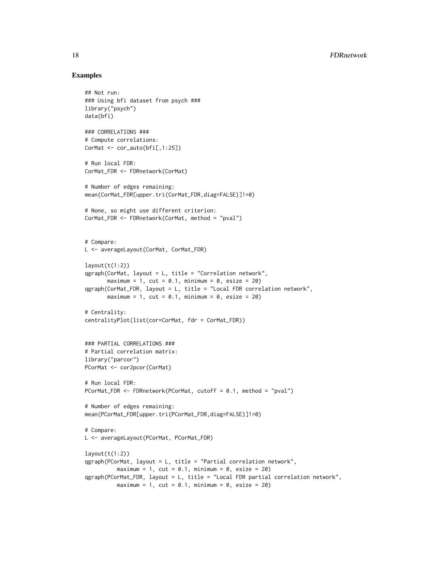#### Examples

```
## Not run:
### Using bfi dataset from psych ###
library("psych")
data(bfi)
### CORRELATIONS ###
# Compute correlations:
CorMat <- cor_auto(bfi[,1:25])
# Run local FDR:
CorMat_FDR <- FDRnetwork(CorMat)
# Number of edges remaining:
mean(CorMat_FDR[upper.tri(CorMat_FDR,diag=FALSE)]!=0)
# None, so might use different criterion:
CorMat_FDR <- FDRnetwork(CorMat, method = "pval")
# Compare:
L <- averageLayout(CorMat, CorMat_FDR)
layout(t(1:2))qgraph(CorMat, layout = L, title = "Correlation network",
       maximum = 1, cut = 0.1, minimum = 0, esize = 20)
qgraph(CorMat_FDR, layout = L, title = "Local FDR correlation network",
       maximum = 1, cut = 0.1, minimum = 0, esize = 20)
# Centrality:
centralityPlot(list(cor=CorMat, fdr = CorMat_FDR))
### PARTIAL CORRELATIONS ###
# Partial correlation matrix:
library("parcor")
PCorMat <- cor2pcor(CorMat)
# Run local FDR:
PCorMat_FDR <- FDRnetwork(PCorMat, cutoff = 0.1, method = "pval")
# Number of edges remaining:
mean(PCorMat_FDR[upper.tri(PCorMat_FDR,diag=FALSE)]!=0)
# Compare:
L <- averageLayout(PCorMat, PCorMat_FDR)
layout(t(1:2))qgraph(PCorMat, layout = L, title = "Partial correlation network",
          maximum = 1, cut = 0.1, minimum = 0, esize = 20)
qgraph(PCorMat_FDR, layout = L, title = "Local FDR partial correlation network",
          maximum = 1, cut = 0.1, minimum = 0, esize = 20)
```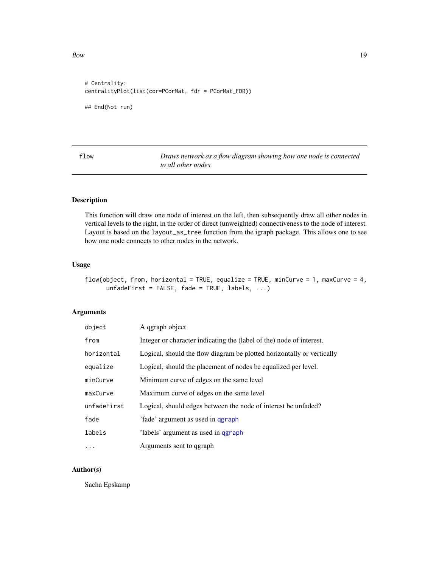<span id="page-18-0"></span> $f$ low  $19$ 

```
# Centrality:
centralityPlot(list(cor=PCorMat, fdr = PCorMat_FDR))
## End(Not run)
```
flow *Draws network as a flow diagram showing how one node is connected to all other nodes*

#### Description

This function will draw one node of interest on the left, then subsequently draw all other nodes in vertical levels to the right, in the order of direct (unweighted) connectiveness to the node of interest. Layout is based on the layout\_as\_tree function from the igraph package. This allows one to see how one node connects to other nodes in the network.

#### Usage

```
flow(object, from, horizontal = TRUE, equalize = TRUE, minCurve = 1, maxCurve = 4,
      unfadeFirst = FALSE, fade = TRUE, labels, \ldots)
```
#### Arguments

| object      | A qgraph object                                                        |
|-------------|------------------------------------------------------------------------|
| from        | Integer or character indicating the (label of the) node of interest.   |
| horizontal  | Logical, should the flow diagram be plotted horizontally or vertically |
| equalize    | Logical, should the placement of nodes be equalized per level.         |
| minCurve    | Minimum curve of edges on the same level                               |
| maxCurve    | Maximum curve of edges on the same level                               |
| unfadeFirst | Logical, should edges between the node of interest be unfaded?         |
| fade        | 'fade' argument as used in ggraph                                      |
| labels      | labels' argument as used in qgraph                                     |
| $\ddotsc$   | Arguments sent to qgraph                                               |

#### Author(s)

Sacha Epskamp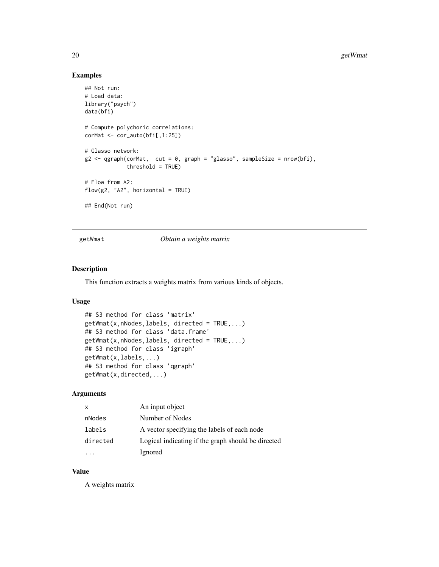#### Examples

```
## Not run:
# Load data:
library("psych")
data(bfi)
# Compute polychoric correlations:
corMat <- cor_auto(bfi[,1:25])
# Glasso network:
g2 \le qgraph(corMat, cut = 0, graph = "glasso", sampleSize = nrow(bfi),
             threshold = TRUE)
# Flow from A2:
flow(g2, "A2", horizontal = TRUE)## End(Not run)
```
<span id="page-19-1"></span>getWmat *Obtain a weights matrix*

#### Description

This function extracts a weights matrix from various kinds of objects.

#### Usage

```
## S3 method for class 'matrix'
getWmat(x,nNodes,labels, directed = TRUE,...)
## S3 method for class 'data.frame'
getWmat(x,nNodes,labels, directed = TRUE,...)
## S3 method for class 'igraph'
getWmat(x,labels,...)
## S3 method for class 'qgraph'
getWmat(x,directed,...)
```
#### Arguments

| x        | An input object                                    |
|----------|----------------------------------------------------|
| nNodes   | Number of Nodes                                    |
| labels   | A vector specifying the labels of each node        |
| directed | Logical indicating if the graph should be directed |
|          | Ignored                                            |

#### Value

A weights matrix

<span id="page-19-0"></span>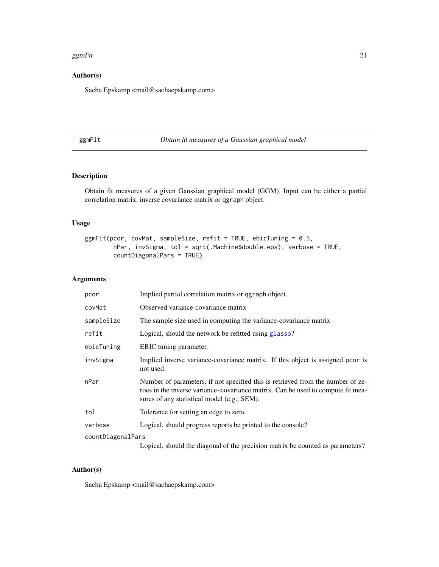#### <span id="page-20-0"></span>ggmFit  $\qquad \qquad 21$

#### Author(s)

Sacha Epskamp <mail@sachaepskamp.com>

#### <span id="page-20-1"></span>ggmFit *Obtain fit measures of a Gaussian graphical model*

#### Description

Obtain fit measures of a given Gaussian graphical model (GGM). Input can be either a partial correlation matrix, inverse covariance matrix or qgraph object.

#### Usage

```
ggmFit(pcor, covMat, sampleSize, refit = TRUE, ebicTuning = 0.5,
        nPar, invSigma, tol = sqrt(.Machine$double.eps), verbose = TRUE,
        countDiagonalPars = TRUE)
```
#### Arguments

| pcor              | Implied partial correlation matrix or qgraph object.                                                                                                                                                              |  |
|-------------------|-------------------------------------------------------------------------------------------------------------------------------------------------------------------------------------------------------------------|--|
| covMat            | Observed variance-covariance matrix                                                                                                                                                                               |  |
| sampleSize        | The sample size used in computing the variance-covariance matrix                                                                                                                                                  |  |
| refit             | Logical, should the network be refitted using glasso?                                                                                                                                                             |  |
| ebicTuning        | EBIC tuning parameter.                                                                                                                                                                                            |  |
| invSigma          | Implied inverse variance-covariance matrix. If this object is assigned pcor is<br>not used.                                                                                                                       |  |
| nPar              | Number of parameters, if not specified this is retrieved from the number of ze-<br>roes in the inverse variance-covariance matrix. Can be used to compute fit mea-<br>sures of any statistical model (e.g., SEM). |  |
| tol               | Tolerance for setting an edge to zero.                                                                                                                                                                            |  |
| verbose           | Logical, should progress reports be printed to the console?                                                                                                                                                       |  |
| countDiagonalPars |                                                                                                                                                                                                                   |  |
|                   | Logical, should the diagonal of the precision matrix be counted as parameters?                                                                                                                                    |  |

#### Author(s)

Sacha Epskamp <mail@sachaepskamp.com>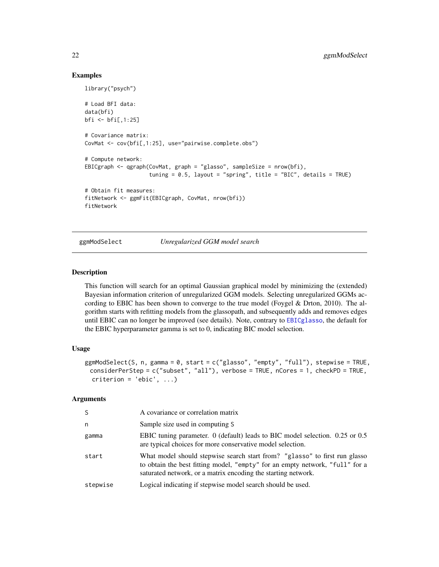#### Examples

```
library("psych")
# Load BFI data:
data(bfi)
bfi <- bfi[,1:25]
# Covariance matrix:
CovMat <- cov(bfi[,1:25], use="pairwise.complete.obs")
# Compute network:
EBICgraph <- qgraph(CovMat, graph = "glasso", sampleSize = nrow(bfi),
                    tuning = 0.5, layout = "spring", title = "BIC", details = TRUE)
# Obtain fit measures:
fitNetwork <- ggmFit(EBICgraph, CovMat, nrow(bfi))
fitNetwork
```
ggmModSelect *Unregularized GGM model search*

#### Description

This function will search for an optimal Gaussian graphical model by minimizing the (extended) Bayesian information criterion of unregularized GGM models. Selecting unregularized GGMs according to EBIC has been shown to converge to the true model (Foygel & Drton, 2010). The algorithm starts with refitting models from the glassopath, and subsequently adds and removes edges until EBIC can no longer be improved (see details). Note, contrary to [EBICglasso](#page-14-1), the default for the EBIC hyperparameter gamma is set to 0, indicating BIC model selection.

#### Usage

```
ggmModSelect(S, n, gamma = 0, start = c("glasso", "empty", "full"), stepwise = TRUE,
 considerPerStep = c("subset", "all"), verbose = TRUE, nCores = 1, checkPD = TRUE,
 criterion = 'ebic', ...)
```
#### Arguments

| S.       | A covariance or correlation matrix                                                                                                                                                                                          |
|----------|-----------------------------------------------------------------------------------------------------------------------------------------------------------------------------------------------------------------------------|
| n        | Sample size used in computing S                                                                                                                                                                                             |
| gamma    | EBIC tuning parameter. 0 (default) leads to BIC model selection. 0.25 or 0.5<br>are typical choices for more conservative model selection.                                                                                  |
| start    | What model should stepwise search start from? "glasso" to first run glasso<br>to obtain the best fitting model, "empty" for an empty network, "full" for a<br>saturated network, or a matrix encoding the starting network. |
| stepwise | Logical indicating if stepwise model search should be used.                                                                                                                                                                 |

<span id="page-21-0"></span>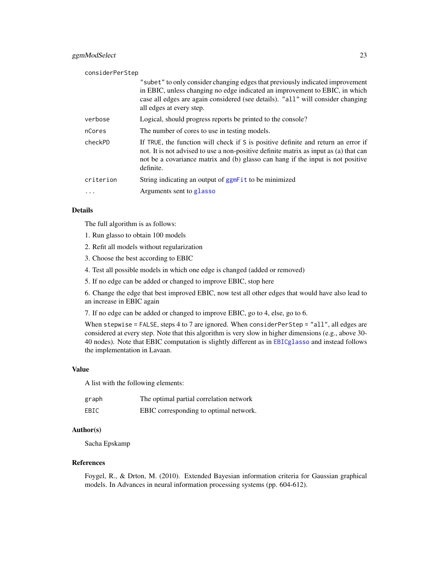#### <span id="page-22-0"></span>ggmModSelect 23

| considerPerStep |                                                                                                                                                                                                                                                                             |
|-----------------|-----------------------------------------------------------------------------------------------------------------------------------------------------------------------------------------------------------------------------------------------------------------------------|
|                 | "subet" to only consider changing edges that previously indicated improvement<br>in EBIC, unless changing no edge indicated an improvement to EBIC, in which<br>case all edges are again considered (see details). "all" will consider changing<br>all edges at every step. |
| verbose         | Logical, should progress reports be printed to the console?                                                                                                                                                                                                                 |
| nCores          | The number of cores to use in testing models.                                                                                                                                                                                                                               |
| checkPD         | If TRUE, the function will check if S is positive definite and return an error if<br>not. It is not advised to use a non-positive definite matrix as input as (a) that can<br>not be a covariance matrix and (b) glasso can hang if the input is not positive<br>definite.  |
| criterion       | String indicating an output of ggmFit to be minimized                                                                                                                                                                                                                       |
| $\cdot$         | Arguments sent to glasso                                                                                                                                                                                                                                                    |

#### Details

The full algorithm is as follows:

- 1. Run glasso to obtain 100 models
- 2. Refit all models without regularization
- 3. Choose the best according to EBIC
- 4. Test all possible models in which one edge is changed (added or removed)
- 5. If no edge can be added or changed to improve EBIC, stop here

6. Change the edge that best improved EBIC, now test all other edges that would have also lead to an increase in EBIC again

7. If no edge can be added or changed to improve EBIC, go to 4, else, go to 6.

When stepwise = FALSE, steps 4 to 7 are ignored. When considerPerStep = "all", all edges are considered at every step. Note that this algorithm is very slow in higher dimensions (e.g., above 30- 40 nodes). Note that EBIC computation is slightly different as in [EBICglasso](#page-14-1) and instead follows the implementation in Lavaan.

#### Value

A list with the following elements:

| graph | The optimal partial correlation network |
|-------|-----------------------------------------|
| EBIC  | EBIC corresponding to optimal network.  |

#### Author(s)

Sacha Epskamp

#### References

Foygel, R., & Drton, M. (2010). Extended Bayesian information criteria for Gaussian graphical models. In Advances in neural information processing systems (pp. 604-612).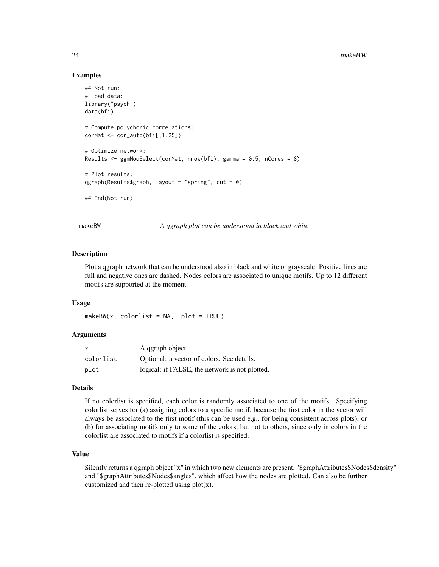#### Examples

```
## Not run:
# Load data:
library("psych")
data(bfi)
# Compute polychoric correlations:
corMat <- cor_auto(bfi[,1:25])
# Optimize network:
Results <- ggmModSelect(corMat, nrow(bfi), gamma = 0.5, nCores = 8)
# Plot results:
qgraph(Results$graph, layout = "spring", cut = 0)
## End(Not run)
```
makeBW *A qgraph plot can be understood in black and white*

#### Description

Plot a qgraph network that can be understood also in black and white or grayscale. Positive lines are full and negative ones are dashed. Nodes colors are associated to unique motifs. Up to 12 different motifs are supported at the moment.

#### Usage

 $makeBW(x, colorlist = NA, plot = TRUE)$ 

#### Arguments

| X         | A qgraph object                                |
|-----------|------------------------------------------------|
| colorlist | Optional: a vector of colors. See details.     |
| plot      | logical: if FALSE, the network is not plotted. |

#### Details

If no colorlist is specified, each color is randomly associated to one of the motifs. Specifying colorlist serves for (a) assigning colors to a specific motif, because the first color in the vector will always be associated to the first motif (this can be used e.g., for being consistent across plots), or (b) for associating motifs only to some of the colors, but not to others, since only in colors in the colorlist are associated to motifs if a colorlist is specified.

#### Value

Silently returns a qgraph object "x" in which two new elements are present, "\$graphAttributes\$Nodes\$density" and "\$graphAttributes\$Nodes\$angles", which affect how the nodes are plotted. Can also be further customized and then re-plotted using  $plot(x)$ .

<span id="page-23-0"></span>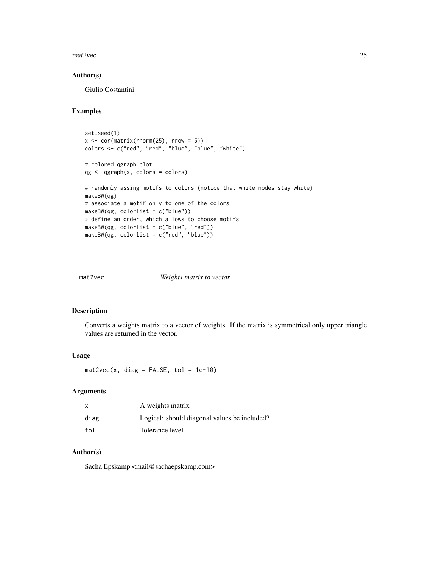#### <span id="page-24-0"></span> $\text{mat2vec}$  25

#### Author(s)

Giulio Costantini

#### Examples

```
set.seed(1)
x \leftarrow cor(matrix(rnorm(25), nrow = 5))colors <- c("red", "red", "blue", "blue", "white")
# colored qgraph plot
qg <- qgraph(x, colors = colors)
# randomly assing motifs to colors (notice that white nodes stay white)
makeBW(qg)
# associate a motif only to one of the colors
makeBW(qg, colorlist = c("blue"))
# define an order, which allows to choose motifs
makeBW(qg, colorlist = c("blue", "red"))
makeBW(qg, colorlist = c("red", "blue"))
```
#### mat2vec *Weights matrix to vector*

#### Description

Converts a weights matrix to a vector of weights. If the matrix is symmetrical only upper triangle values are returned in the vector.

#### Usage

 $mat2vec(x, diag = FALSE, tol = 1e-10)$ 

#### Arguments

| $\mathsf{x}$ | A weights matrix                             |
|--------------|----------------------------------------------|
| diag         | Logical: should diagonal values be included? |
| tol          | Tolerance level                              |

#### Author(s)

Sacha Epskamp <mail@sachaepskamp.com>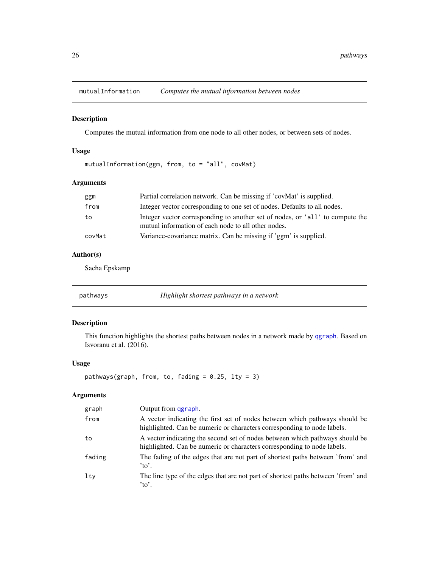<span id="page-25-0"></span>

#### Description

Computes the mutual information from one node to all other nodes, or between sets of nodes.

#### Usage

mutualInformation(ggm, from, to = "all", covMat)

#### Arguments

| ggm    | Partial correlation network. Can be missing if 'covMat' is supplied.                                                                 |
|--------|--------------------------------------------------------------------------------------------------------------------------------------|
| from   | Integer vector corresponding to one set of nodes. Defaults to all nodes.                                                             |
| to     | Integer vector corresponding to another set of nodes, or 'all' to compute the<br>mutual information of each node to all other nodes. |
| covMat | Variance-covariance matrix. Can be missing if 'ggm' is supplied.                                                                     |

#### Author(s)

Sacha Epskamp

pathways *Highlight shortest pathways in a network*

#### Description

This function highlights the shortest paths between nodes in a network made by [qgraph](#page-28-1). Based on Isvoranu et al. (2016).

#### Usage

```
pathways(graph, from, to, fading = 0.25, lty = 3)
```
#### Arguments

| graph  | Output from qgraph.                                                                                                                                     |
|--------|---------------------------------------------------------------------------------------------------------------------------------------------------------|
| from   | A vector indicating the first set of nodes between which pathways should be<br>highlighted. Can be numeric or characters corresponding to node labels.  |
| to     | A vector indicating the second set of nodes between which pathways should be<br>highlighted. Can be numeric or characters corresponding to node labels. |
| fading | The fading of the edges that are not part of shortest paths between 'from' and<br>$\alpha$ .                                                            |
| lty    | The line type of the edges that are not part of shortest paths between 'from' and<br>$\alpha$ .                                                         |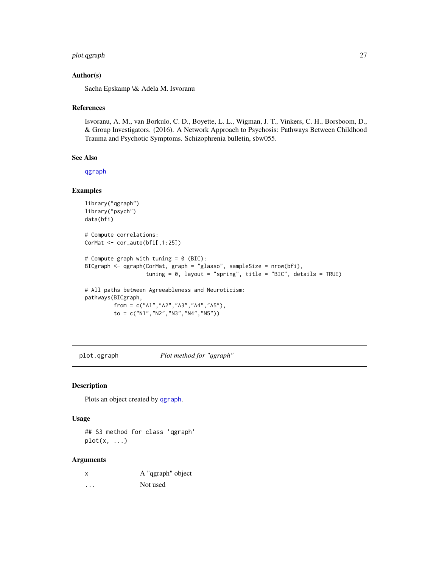#### <span id="page-26-0"></span>plot.qgraph 27

#### Author(s)

Sacha Epskamp \& Adela M. Isvoranu

#### References

Isvoranu, A. M., van Borkulo, C. D., Boyette, L. L., Wigman, J. T., Vinkers, C. H., Borsboom, D., & Group Investigators. (2016). A Network Approach to Psychosis: Pathways Between Childhood Trauma and Psychotic Symptoms. Schizophrenia bulletin, sbw055.

#### See Also

[qgraph](#page-28-1)

#### Examples

```
library("qgraph")
library("psych")
data(bfi)
# Compute correlations:
CorMat <- cor_auto(bfi[,1:25])
# Compute graph with tuning = 0 (BIC):
BICgraph <- qgraph(CorMat, graph = "glasso", sampleSize = nrow(bfi),
                   tuning = 0, layout = "spring", title = "BIC", details = TRUE)
# All paths between Agreeableness and Neuroticism:
pathways(BICgraph,
         from = c("A1","A2","A3","A4","A5"),
         to = c("N1", "N2", "N3", "N4", "N5"))
```
plot.qgraph *Plot method for "qgraph"*

#### Description

Plots an object created by [qgraph](#page-28-1).

#### Usage

## S3 method for class 'qgraph' plot(x, ...)

#### Arguments

| x | A "qgraph" object |
|---|-------------------|
| . | Not used          |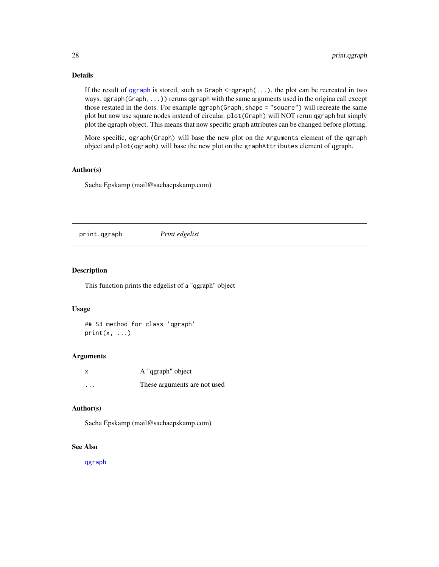#### Details

If the result of [qgraph](#page-28-1) is stored, such as  $Graph < -qgraph(...)$ , the plot can be recreated in two ways.  $qgraph(Graph, \ldots)$  reruns  $qgraph$  with the same arguments used in the origina call except those restated in the dots. For example ggraph(Graph, shape = "square") will recreate the same plot but now use square nodes instead of circular. plot(Graph) will NOT rerun qgraph but simply plot the qgraph object. This means that now specific graph attributes can be changed before plotting.

More specific, qgraph(Graph) will base the new plot on the Arguments element of the qgraph object and plot(qgraph) will base the new plot on the graphAttributes element of qgraph.

#### Author(s)

Sacha Epskamp (mail@sachaepskamp.com)

print.qgraph *Print edgelist*

#### Description

This function prints the edgelist of a "qgraph" object

#### Usage

## S3 method for class 'qgraph'  $print(x, \ldots)$ 

#### Arguments

|          | A "qgraph" object            |
|----------|------------------------------|
| $\cdots$ | These arguments are not used |

#### Author(s)

Sacha Epskamp (mail@sachaepskamp.com)

#### See Also

[qgraph](#page-28-1)

<span id="page-27-0"></span>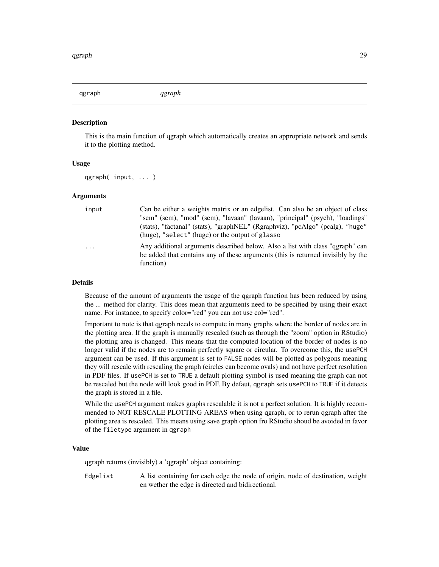<span id="page-28-1"></span><span id="page-28-0"></span>qgraph *qgraph*

#### **Description**

This is the main function of qgraph which automatically creates an appropriate network and sends it to the plotting method.

#### Usage

qgraph( input, ... )

#### Arguments

| input   | Can be either a weights matrix or an edgelist. Can also be an object of class    |
|---------|----------------------------------------------------------------------------------|
|         | "sem" (sem), "mod" (sem), "lavaan" (lavaan), "principal" (psych), "loadings"     |
|         | (stats), "factanal" (stats), "graphNEL" (Rgraphviz), "pcAlgo" (pcalg), "huge"    |
|         | (huge), "select" (huge) or the output of glasso                                  |
| $\cdot$ | Any additional arguments described below. Also a list with class "geraph" can    |
|         | be added that contains any of these arguments (this is returned invisibly by the |
|         | function)                                                                        |

#### Details

Because of the amount of arguments the usage of the qgraph function has been reduced by using the ... method for clarity. This does mean that arguments need to be specified by using their exact name. For instance, to specify color="red" you can not use col="red".

Important to note is that qgraph needs to compute in many graphs where the border of nodes are in the plotting area. If the graph is manually rescaled (such as through the "zoom" option in RStudio) the plotting area is changed. This means that the computed location of the border of nodes is no longer valid if the nodes are to remain perfectly square or circular. To overcome this, the usePCH argument can be used. If this argument is set to FALSE nodes will be plotted as polygons meaning they will rescale with rescaling the graph (circles can become ovals) and not have perfect resolution in PDF files. If usePCH is set to TRUE a default plotting symbol is used meaning the graph can not be rescaled but the node will look good in PDF. By defaut, qgraph sets usePCH to TRUE if it detects the graph is stored in a file.

While the usePCH argument makes graphs rescalable it is not a perfect solution. It is highly recommended to NOT RESCALE PLOTTING AREAS when using qgraph, or to rerun qgraph after the plotting area is rescaled. This means using save graph option fro RStudio shoud be avoided in favor of the filetype argument in qgraph

#### Value

qgraph returns (invisibly) a 'qgraph' object containing:

Edgelist A list containing for each edge the node of origin, node of destination, weight en wether the edge is directed and bidirectional.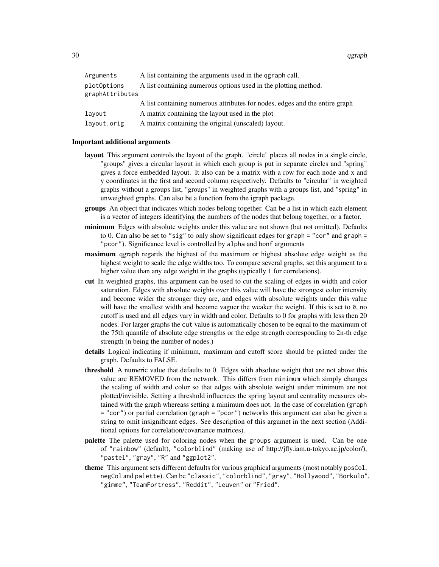30 qgraph

| Arguments                      | A list containing the arguments used in the qgraph call.                    |
|--------------------------------|-----------------------------------------------------------------------------|
| plotOptions<br>graphAttributes | A list containing numerous options used in the plotting method.             |
|                                | A list containing numerous attributes for nodes, edges and the entire graph |
| layout                         | A matrix containing the layout used in the plot                             |
| layout.orig                    | A matrix containing the original (unscaled) layout.                         |

#### Important additional arguments

- layout This argument controls the layout of the graph. "circle" places all nodes in a single circle, "groups" gives a circular layout in which each group is put in separate circles and "spring" gives a force embedded layout. It also can be a matrix with a row for each node and x and y coordinates in the first and second column respectively. Defaults to "circular" in weighted graphs without a groups list, "groups" in weighted graphs with a groups list, and "spring" in unweighted graphs. Can also be a function from the igraph package.
- groups An object that indicates which nodes belong together. Can be a list in which each element is a vector of integers identifying the numbers of the nodes that belong together, or a factor.
- minimum Edges with absolute weights under this value are not shown (but not omitted). Defaults to 0. Can also be set to "sig" to only show significant edges for graph = "cor" and graph = "pcor"). Significance level is controlled by alpha and bonf arguments
- **maximum** ggraph regards the highest of the maximum or highest absolute edge weight as the highest weight to scale the edge widths too. To compare several graphs, set this argument to a higher value than any edge weight in the graphs (typically 1 for correlations).
- cut In weighted graphs, this argument can be used to cut the scaling of edges in width and color saturation. Edges with absolute weights over this value will have the strongest color intensity and become wider the stronger they are, and edges with absolute weights under this value will have the smallest width and become vaguer the weaker the weight. If this is set to  $\theta$ , no cutoff is used and all edges vary in width and color. Defaults to 0 for graphs with less then 20 nodes. For larger graphs the cut value is automatically chosen to be equal to the maximum of the 75th quantile of absolute edge strengths or the edge strength corresponding to 2n-th edge strength (n being the number of nodes.)
- details Logical indicating if minimum, maximum and cutoff score should be printed under the graph. Defaults to FALSE.
- threshold A numeric value that defaults to 0. Edges with absolute weight that are not above this value are REMOVED from the network. This differs from minimum which simply changes the scaling of width and color so that edges with absolute weight under minimum are not plotted/invisible. Setting a threshold influences the spring layout and centrality measures obtained with the graph whereass setting a minimum does not. In the case of correlation (graph = "cor") or partial correlation (graph = "pcor") networks this argument can also be given a string to omit insignificant edges. See description of this argumet in the next section (Additional options for correlation/covariance matrices).
- palette The palette used for coloring nodes when the groups argument is used. Can be one of "rainbow" (default), "colorblind" (making use of http://jfly.iam.u-tokyo.ac.jp/color/), "pastel", "gray", "R" and "ggplot2".
- theme This argument sets different defaults for various graphical arguments (most notably posCol, negCol and palette). Can be "classic", "colorblind", "gray", "Hollywood", "Borkulo", "gimme", "TeamFortress", "Reddit", "Leuven" or "Fried".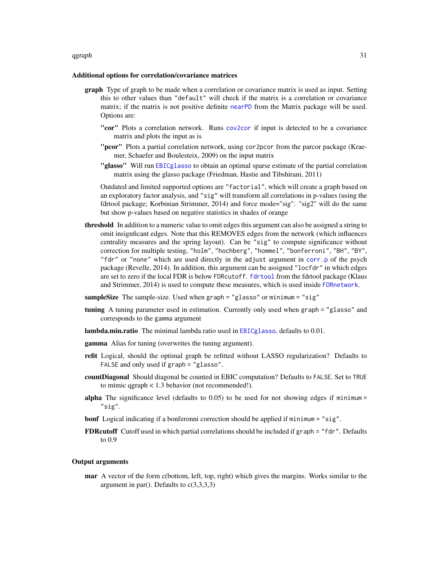#### <span id="page-30-0"></span>qgraph 31

#### Additional options for correlation/covariance matrices

- graph Type of graph to be made when a correlation or covariance matrix is used as input. Setting this to other values than "default" will check if the matrix is a correlation or covariance matrix; if the matrix is not positive definite [nearPD](#page-0-0) from the Matrix package will be used. Options are:
	- "cor" Plots a correlation network. Runs [cov2cor](#page-0-0) if input is detected to be a covariance matrix and plots the input as is
	- "**pcor**" Plots a partial correlation network, using cor2pcor from the parcor package (Kraemer, Schaefer and Boulesteix, 2009) on the input matrix
	- "glasso" Will run [EBICglasso](#page-14-1) to obtain an optimal sparse estimate of the partial correlation matrix using the glasso package (Friedman, Hastie and Tibshirani, 2011)

Outdated and limited supported options are "factorial", which will create a graph based on an exploratory factor analysis, and "sig" will transform all correlations in p-values (using the fdrtool package; Korbinian Strimmer, 2014) and force mode="sig". "sig2" will do the same but show p-values based on negative statistics in shades of orange

- threshold In addition to a numeric value to omit edges this argument can also be assigned a string to omit insignficant edges. Note that this REMOVES edges from the network (which influences centrality measures and the spring layout). Can be "sig" to compute significance without correction for multiple testing, "holm", "hochberg", "hommel", "bonferroni", "BH", "BY", "fdr" or "none" which are used directly in the adjust argument in [corr.p](#page-0-0) of the psych package (Revelle, 2014). In addition, this argument can be assigned "locfdr" in which edges are set to zero if the local FDR is below FDRcutoff. [fdrtool](#page-0-0) from the fdrtool package (Klaus and Strimmer, 2014) is used to compute these measures, which is used inside [FDRnetwork](#page-16-1).
- sampleSize The sample-size. Used when graph = "glasso" or minimum = "sig"
- tuning A tuning parameter used in estimation. Currently only used when graph = "glasso" and corresponds to the gamma argument
- lambda.min.ratio The minimal lambda ratio used in **[EBICglasso](#page-14-1)**, defaults to 0.01.
- **gamma** Alias for tuning (overwrites the tuning argument).
- refit Logical, should the optimal graph be refitted without LASSO regularization? Defaults to FALSE and only used if graph = "glasso".
- countDiagonal Should diagonal be counted in EBIC computation? Defaults to FALSE. Set to TRUE to mimic qgraph < 1.3 behavior (not recommended!).
- alpha The significance level (defaults to  $0.05$ ) to be used for not showing edges if minimum = "sig".
- bonf Logical indicating if a bonferonni correction should be applied if minimum = "sig".
- FDRcutoff Cutoff used in which partial correlations should be included if graph = "fdr". Defaults to 0.9

#### Output arguments

mar A vector of the form c(bottom, left, top, right) which gives the margins. Works similar to the argument in par(). Defaults to  $c(3,3,3,3)$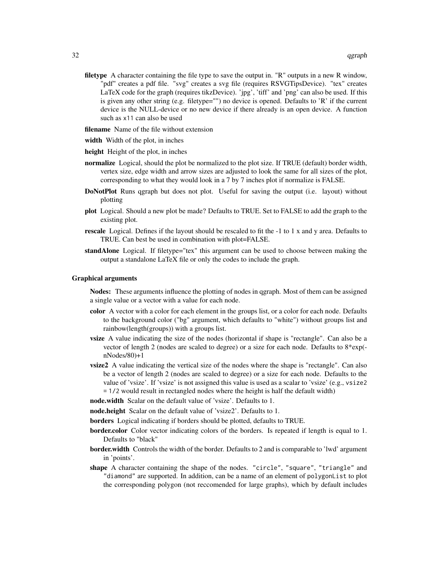- filetype A character containing the file type to save the output in. "R" outputs in a new R window, "pdf" creates a pdf file. "svg" creates a svg file (requires RSVGTipsDevice). "tex" creates LaTeX code for the graph (requires tikzDevice). 'jpg', 'tiff' and 'png' can also be used. If this is given any other string (e.g. filetype="") no device is opened. Defaults to 'R' if the current device is the NULL-device or no new device if there already is an open device. A function such as x11 can also be used
- **filename** Name of the file without extension
- width Width of the plot, in inches
- height Height of the plot, in inches
- normalize Logical, should the plot be normalized to the plot size. If TRUE (default) border width, vertex size, edge width and arrow sizes are adjusted to look the same for all sizes of the plot, corresponding to what they would look in a 7 by 7 inches plot if normalize is FALSE.
- DoNotPlot Runs qgraph but does not plot. Useful for saving the output (i.e. layout) without plotting
- plot Logical. Should a new plot be made? Defaults to TRUE. Set to FALSE to add the graph to the existing plot.
- rescale Logical. Defines if the layout should be rescaled to fit the -1 to 1 x and y area. Defaults to TRUE. Can best be used in combination with plot=FALSE.
- standAlone Logical. If filetype="tex" this argument can be used to choose between making the output a standalone LaTeX file or only the codes to include the graph.

#### Graphical arguments

Nodes: These arguments influence the plotting of nodes in qgraph. Most of them can be assigned a single value or a vector with a value for each node.

- color A vector with a color for each element in the groups list, or a color for each node. Defaults to the background color ("bg" argument, which defaults to "white") without groups list and rainbow(length(groups)) with a groups list.
- vsize A value indicating the size of the nodes (horizontal if shape is "rectangle". Can also be a vector of length 2 (nodes are scaled to degree) or a size for each node. Defaults to 8\*exp( nNodes/80)+1
- vsize2 A value indicating the vertical size of the nodes where the shape is "rectangle". Can also be a vector of length 2 (nodes are scaled to degree) or a size for each node. Defaults to the value of 'vsize'. If 'vsize' is not assigned this value is used as a scalar to 'vsize' (e.g., vsize2 = 1/2 would result in rectangled nodes where the height is half the default width)
- node.width Scalar on the default value of 'vsize'. Defaults to 1.
- node.height Scalar on the default value of 'vsize2'. Defaults to 1.
- borders Logical indicating if borders should be plotted, defaults to TRUE.
- border.color Color vector indicating colors of the borders. Is repeated if length is equal to 1. Defaults to "black"
- border.width Controls the width of the border. Defaults to 2 and is comparable to 'lwd' argument in 'points'.
- shape A character containing the shape of the nodes. "circle", "square", "triangle" and "diamond" are supported. In addition, can be a name of an element of polygonList to plot the corresponding polygon (not reccomended for large graphs), which by default includes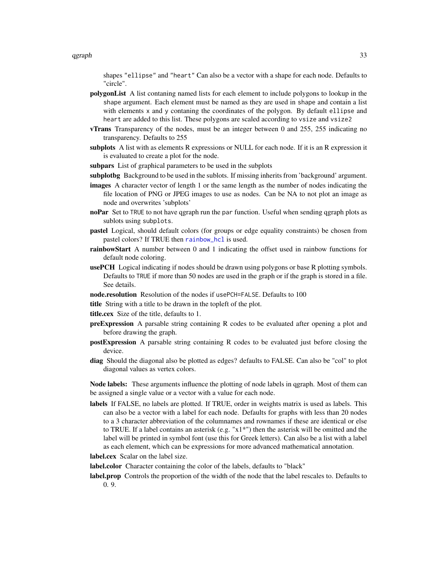<span id="page-32-0"></span>shapes "ellipse" and "heart" Can also be a vector with a shape for each node. Defaults to "circle".

- polygonList A list contaning named lists for each element to include polygons to lookup in the shape argument. Each element must be named as they are used in shape and contain a list with elements x and y contaning the coordinates of the polygon. By default ellipse and heart are added to this list. These polygons are scaled according to vsize and vsize2
- vTrans Transparency of the nodes, must be an integer between 0 and 255, 255 indicating no transparency. Defaults to 255
- subplots A list with as elements R expressions or NULL for each node. If it is an R expression it is evaluated to create a plot for the node.
- subpars List of graphical parameters to be used in the subplots
- subplotbg Background to be used in the sublots. If missing inherits from 'background' argument.
- images A character vector of length 1 or the same length as the number of nodes indicating the file location of PNG or JPEG images to use as nodes. Can be NA to not plot an image as node and overwrites 'subplots'
- noPar Set to TRUE to not have qgraph run the par function. Useful when sending qgraph plots as sublots using subplots.
- pastel Logical, should default colors (for groups or edge equality constraints) be chosen from pastel colors? If TRUE then [rainbow\\_hcl](#page-0-0) is used.
- rainbowStart A number between 0 and 1 indicating the offset used in rainbow functions for default node coloring.
- usePCH Logical indicating if nodes should be drawn using polygons or base R plotting symbols. Defaults to TRUE if more than 50 nodes are used in the graph or if the graph is stored in a file. See details.
- node.resolution Resolution of the nodes if usePCH=FALSE. Defaults to 100
- title String with a title to be drawn in the topleft of the plot.
- title.cex Size of the title, defaults to 1.
- preExpression A parsable string containing R codes to be evaluated after opening a plot and before drawing the graph.
- postExpression A parsable string containing R codes to be evaluated just before closing the device.
- diag Should the diagonal also be plotted as edges? defaults to FALSE. Can also be "col" to plot diagonal values as vertex colors.

Node labels: These arguments influence the plotting of node labels in qgraph. Most of them can be assigned a single value or a vector with a value for each node.

labels If FALSE, no labels are plotted. If TRUE, order in weights matrix is used as labels. This can also be a vector with a label for each node. Defaults for graphs with less than 20 nodes to a 3 character abbreviation of the columnames and rownames if these are identical or else to TRUE. If a label contains an asterisk (e.g. "x1\*") then the asterisk will be omitted and the label will be printed in symbol font (use this for Greek letters). Can also be a list with a label as each element, which can be expressions for more advanced mathematical annotation.

label.cex Scalar on the label size.

- label.color Character containing the color of the labels, defaults to "black"
- label.prop Controls the proportion of the width of the node that the label rescales to. Defaults to 0. 9.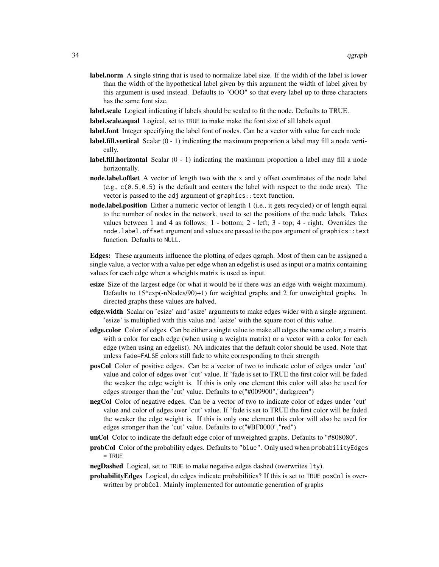- label.norm A single string that is used to normalize label size. If the width of the label is lower than the width of the hypothetical label given by this argument the width of label given by this argument is used instead. Defaults to "OOO" so that every label up to three characters has the same font size.
- label.scale Logical indicating if labels should be scaled to fit the node. Defaults to TRUE.
- label.scale.equal Logical, set to TRUE to make make the font size of all labels equal
- label.font Integer specifying the label font of nodes. Can be a vector with value for each node
- label.fill.vertical Scalar (0 1) indicating the maximum proportion a label may fill a node vertically.
- **label.fill.horizontal** Scalar  $(0 1)$  indicating the maximum proportion a label may fill a node horizontally.
- node.label.offset A vector of length two with the x and y offset coordinates of the node label (e.g.,  $c(0.5, 0.5)$  is the default and centers the label with respect to the node area). The vector is passed to the adj argument of graphics::text function.
- node.label.position Either a numeric vector of length 1 (i.e., it gets recycled) or of length equal to the number of nodes in the network, used to set the positions of the node labels. Takes values between 1 and 4 as follows: 1 - bottom; 2 - left; 3 - top; 4 - right. Overrides the node.label.offset argument and values are passed to the pos argument of graphics::text function. Defaults to NULL.

Edges: These arguments influence the plotting of edges qgraph. Most of them can be assigned a single value, a vector with a value per edge when an edgelist is used as input or a matrix containing values for each edge when a wheights matrix is used as input.

- esize Size of the largest edge (or what it would be if there was an edge with weight maximum). Defaults to  $15*exp(-nNodes/90)+1$  for weighted graphs and 2 for unweighted graphs. In directed graphs these values are halved.
- edge.width Scalar on 'esize' and 'asize' arguments to make edges wider with a single argument. 'esize' is multiplied with this value and 'asize' with the square root of this value.
- edge.color Color of edges. Can be either a single value to make all edges the same color, a matrix with a color for each edge (when using a weights matrix) or a vector with a color for each edge (when using an edgelist). NA indicates that the default color should be used. Note that unless fade=FALSE colors still fade to white corresponding to their strength
- posCol Color of positive edges. Can be a vector of two to indicate color of edges under 'cut' value and color of edges over 'cut' value. If 'fade is set to TRUE the first color will be faded the weaker the edge weight is. If this is only one element this color will also be used for edges stronger than the 'cut' value. Defaults to c("#009900","darkgreen")
- negCol Color of negative edges. Can be a vector of two to indicate color of edges under 'cut' value and color of edges over 'cut' value. If 'fade is set to TRUE the first color will be faded the weaker the edge weight is. If this is only one element this color will also be used for edges stronger than the 'cut' value. Defaults to c("#BF0000","red")
- unCol Color to indicate the default edge color of unweighted graphs. Defaults to "#808080".
- probCol Color of the probability edges. Defaults to "blue". Only used when probabilityEdges  $=$  TRUE
- negDashed Logical, set to TRUE to make negative edges dashed (overwrites lty).
- probabilityEdges Logical, do edges indicate probabilities? If this is set to TRUE posCol is overwritten by probCol. Mainly implemented for automatic generation of graphs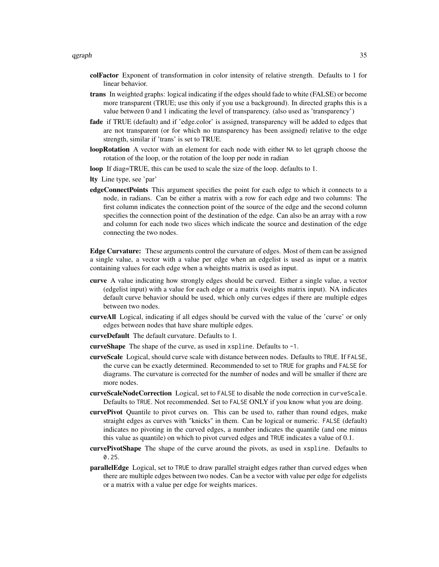- colFactor Exponent of transformation in color intensity of relative strength. Defaults to 1 for linear behavior.
- trans In weighted graphs: logical indicating if the edges should fade to white (FALSE) or become more transparent (TRUE; use this only if you use a background). In directed graphs this is a value between 0 and 1 indicating the level of transparency. (also used as 'transparency')
- fade if TRUE (default) and if 'edge.color' is assigned, transparency will be added to edges that are not transparent (or for which no transparency has been assigned) relative to the edge strength, similar if 'trans' is set to TRUE.
- loopRotation A vector with an element for each node with either NA to let qgraph choose the rotation of the loop, or the rotation of the loop per node in radian
- loop If diag=TRUE, this can be used to scale the size of the loop. defaults to 1.
- lty Line type, see 'par'
- edgeConnectPoints This argument specifies the point for each edge to which it connects to a node, in radians. Can be either a matrix with a row for each edge and two columns: The first column indicates the connection point of the source of the edge and the second column specifies the connection point of the destination of the edge. Can also be an array with a row and column for each node two slices which indicate the source and destination of the edge connecting the two nodes.

Edge Curvature: These arguments control the curvature of edges. Most of them can be assigned a single value, a vector with a value per edge when an edgelist is used as input or a matrix containing values for each edge when a wheights matrix is used as input.

- curve A value indicating how strongly edges should be curved. Either a single value, a vector (edgelist input) with a value for each edge or a matrix (weights matrix input). NA indicates default curve behavior should be used, which only curves edges if there are multiple edges between two nodes.
- curveAll Logical, indicating if all edges should be curved with the value of the 'curve' or only edges between nodes that have share multiple edges.
- curveDefault The default curvature. Defaults to 1.
- curveShape The shape of the curve, as used in xspline. Defaults to -1.
- curveScale Logical, should curve scale with distance between nodes. Defaults to TRUE. If FALSE, the curve can be exactly determined. Recommended to set to TRUE for graphs and FALSE for diagrams. The curvature is corrected for the number of nodes and will be smaller if there are more nodes.
- curveScaleNodeCorrection Logical, set to FALSE to disable the node correction in curveScale. Defaults to TRUE. Not recommended. Set to FALSE ONLY if you know what you are doing.
- curvePivot Quantile to pivot curves on. This can be used to, rather than round edges, make straight edges as curves with "knicks" in them. Can be logical or numeric. FALSE (default) indicates no pivoting in the curved edges, a number indicates the quantile (and one minus this value as quantile) on which to pivot curved edges and TRUE indicates a value of 0.1.
- curvePivotShape The shape of the curve around the pivots, as used in xspline. Defaults to 0.25.
- parallelEdge Logical, set to TRUE to draw parallel straight edges rather than curved edges when there are multiple edges between two nodes. Can be a vector with value per edge for edgelists or a matrix with a value per edge for weights marices.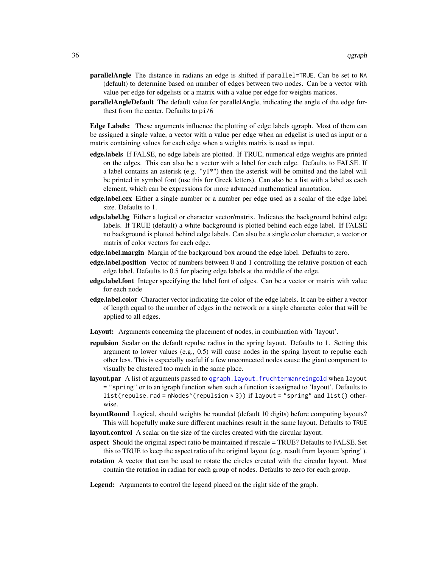- <span id="page-35-0"></span>parallelAngle The distance in radians an edge is shifted if parallel=TRUE. Can be set to NA (default) to determine based on number of edges between two nodes. Can be a vector with value per edge for edgelists or a matrix with a value per edge for weights marices.
- parallelAngleDefault The default value for parallelAngle, indicating the angle of the edge furthest from the center. Defaults to pi/6

Edge Labels: These arguments influence the plotting of edge labels qgraph. Most of them can be assigned a single value, a vector with a value per edge when an edgelist is used as input or a matrix containing values for each edge when a weights matrix is used as input.

- edge.labels If FALSE, no edge labels are plotted. If TRUE, numerical edge weights are printed on the edges. This can also be a vector with a label for each edge. Defaults to FALSE. If a label contains an asterisk (e.g. " $y1^*$ ") then the asterisk will be omitted and the label will be printed in symbol font (use this for Greek letters). Can also be a list with a label as each element, which can be expressions for more advanced mathematical annotation.
- edge.label.cex Either a single number or a number per edge used as a scalar of the edge label size. Defaults to 1.
- edge.label.bg Either a logical or character vector/matrix. Indicates the background behind edge labels. If TRUE (default) a white background is plotted behind each edge label. If FALSE no background is plotted behind edge labels. Can also be a single color character, a vector or matrix of color vectors for each edge.
- edge.label.margin Margin of the background box around the edge label. Defaults to zero.
- edge.label.position Vector of numbers between 0 and 1 controlling the relative position of each edge label. Defaults to 0.5 for placing edge labels at the middle of the edge.
- edge.label.font Integer specifying the label font of edges. Can be a vector or matrix with value for each node
- edge.label.color Character vector indicating the color of the edge labels. It can be either a vector of length equal to the number of edges in the network or a single character color that will be applied to all edges.
- Layout: Arguments concerning the placement of nodes, in combination with 'layout'.
- repulsion Scalar on the default repulse radius in the spring layout. Defaults to 1. Setting this argument to lower values (e.g.,  $0.5$ ) will cause nodes in the spring layout to repulse each other less. This is especially useful if a few unconnected nodes cause the giant component to visually be clustered too much in the same place.
- layout.par A list of arguments passed to [qgraph.layout.fruchtermanreingold](#page-49-1) when layout = "spring" or to an igraph function when such a function is assigned to 'layout'. Defaults to list(repulse.rad = nNodes^(repulsion \* 3)) if layout = "spring" and list() otherwise.
- layoutRound Logical, should weights be rounded (default 10 digits) before computing layouts? This will hopefully make sure different machines result in the same layout. Defaults to TRUE
- layout.control A scalar on the size of the circles created with the circular layout.
- aspect Should the original aspect ratio be maintained if rescale = TRUE? Defaults to FALSE. Set this to TRUE to keep the aspect ratio of the original layout (e.g. result from layout="spring").
- rotation A vector that can be used to rotate the circles created with the circular layout. Must contain the rotation in radian for each group of nodes. Defaults to zero for each group.
- Legend: Arguments to control the legend placed on the right side of the graph.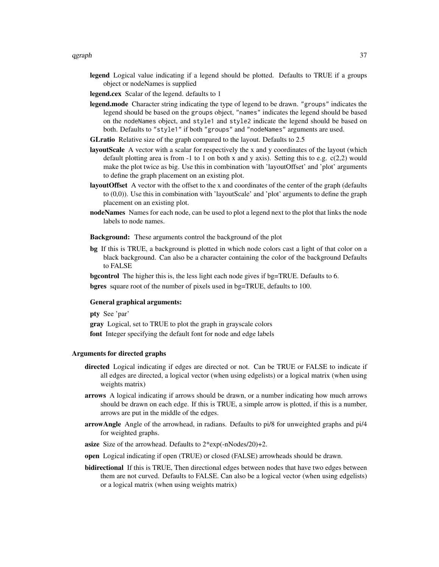- legend Logical value indicating if a legend should be plotted. Defaults to TRUE if a groups object or nodeNames is supplied
- legend.cex Scalar of the legend. defaults to 1
- legend.mode Character string indicating the type of legend to be drawn. "groups" indicates the legend should be based on the groups object, "names" indicates the legend should be based on the nodeNames object, and style1 and style2 indicate the legend should be based on both. Defaults to "style1" if both "groups" and "nodeNames" arguments are used.
- GLratio Relative size of the graph compared to the layout. Defaults to 2.5
- layoutScale A vector with a scalar for respectively the x and y coordinates of the layout (which default plotting area is from  $-1$  to 1 on both x and y axis). Setting this to e.g. c(2,2) would make the plot twice as big. Use this in combination with 'layoutOffset' and 'plot' arguments to define the graph placement on an existing plot.
- layoutOffset A vector with the offset to the x and coordinates of the center of the graph (defaults to (0,0)). Use this in combination with 'layoutScale' and 'plot' arguments to define the graph placement on an existing plot.
- nodeNames Names for each node, can be used to plot a legend next to the plot that links the node labels to node names.

Background: These arguments control the background of the plot

bg If this is TRUE, a background is plotted in which node colors cast a light of that color on a black background. Can also be a character containing the color of the background Defaults to FALSE

bgcontrol The higher this is, the less light each node gives if bg=TRUE. Defaults to 6. bgres square root of the number of pixels used in bg=TRUE, defaults to 100.

#### General graphical arguments:

pty See 'par'

gray Logical, set to TRUE to plot the graph in grayscale colors

font Integer specifying the default font for node and edge labels

#### Arguments for directed graphs

- directed Logical indicating if edges are directed or not. Can be TRUE or FALSE to indicate if all edges are directed, a logical vector (when using edgelists) or a logical matrix (when using weights matrix)
- arrows A logical indicating if arrows should be drawn, or a number indicating how much arrows should be drawn on each edge. If this is TRUE, a simple arrow is plotted, if this is a number, arrows are put in the middle of the edges.
- arrowAngle Angle of the arrowhead, in radians. Defaults to pi/8 for unweighted graphs and pi/4 for weighted graphs.
- asize Size of the arrowhead. Defaults to 2\*exp(-nNodes/20)+2.
- open Logical indicating if open (TRUE) or closed (FALSE) arrowheads should be drawn.
- bidirectional If this is TRUE, Then directional edges between nodes that have two edges between them are not curved. Defaults to FALSE. Can also be a logical vector (when using edgelists) or a logical matrix (when using weights matrix)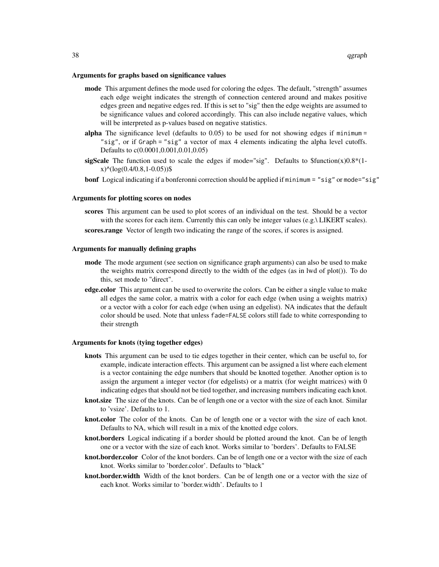#### Arguments for graphs based on significance values

- mode This argument defines the mode used for coloring the edges. The default, "strength" assumes each edge weight indicates the strength of connection centered around and makes positive edges green and negative edges red. If this is set to "sig" then the edge weights are assumed to be significance values and colored accordingly. This can also include negative values, which will be interpreted as p-values based on negative statistics.
- alpha The significance level (defaults to  $0.05$ ) to be used for not showing edges if minimum = "sig", or if Graph = "sig" a vector of max 4 elements indicating the alpha level cutoffs. Defaults to c(0.0001,0.001,0.01,0.05)
- sigScale The function used to scale the edges if mode="sig". Defaults to  $$function(x)0.8*(1$  $x$ <sup> $\land$ </sup>(log(0.4/0.8,1-0.05))\$
- bonf Logical indicating if a bonferonni correction should be applied if minimum = "sig" or mode="sig"

#### Arguments for plotting scores on nodes

- scores This argument can be used to plot scores of an individual on the test. Should be a vector with the scores for each item. Currently this can only be integer values (e.g.\ LIKERT scales).
- scores.range Vector of length two indicating the range of the scores, if scores is assigned.

#### Arguments for manually defining graphs

- mode The mode argument (see section on significance graph arguments) can also be used to make the weights matrix correspond directly to the width of the edges (as in lwd of plot()). To do this, set mode to "direct".
- edge.color This argument can be used to overwrite the colors. Can be either a single value to make all edges the same color, a matrix with a color for each edge (when using a weights matrix) or a vector with a color for each edge (when using an edgelist). NA indicates that the default color should be used. Note that unless fade=FALSE colors still fade to white corresponding to their strength

#### Arguments for knots (tying together edges)

- knots This argument can be used to tie edges together in their center, which can be useful to, for example, indicate interaction effects. This argument can be assigned a list where each element is a vector containing the edge numbers that should be knotted together. Another option is to assign the argument a integer vector (for edgelists) or a matrix (for weight matrices) with 0 indicating edges that should not be tied together, and increasing numbers indicating each knot.
- knot.size The size of the knots. Can be of length one or a vector with the size of each knot. Similar to 'vsize'. Defaults to 1.
- knot.color The color of the knots. Can be of length one or a vector with the size of each knot. Defaults to NA, which will result in a mix of the knotted edge colors.
- knot.borders Logical indicating if a border should be plotted around the knot. Can be of length one or a vector with the size of each knot. Works similar to 'borders'. Defaults to FALSE
- knot.border.color Color of the knot borders. Can be of length one or a vector with the size of each knot. Works similar to 'border.color'. Defaults to "black"
- knot.border.width Width of the knot borders. Can be of length one or a vector with the size of each knot. Works similar to 'border.width'. Defaults to 1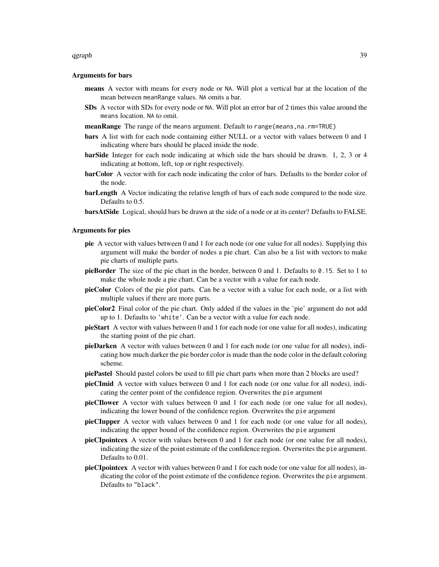#### qgraph 39

#### Arguments for bars

- means A vector with means for every node or NA. Will plot a vertical bar at the location of the mean between meanRange values. NA omits a bar.
- SDs A vector with SDs for every node or NA. Will plot an error bar of 2 times this value around the means location. NA to omit.
- meanRange The range of the means argument. Default to range (means, na. rm=TRUE)
- bars A list with for each node containing either NULL or a vector with values between 0 and 1 indicating where bars should be placed inside the node.
- barSide Integer for each node indicating at which side the bars should be drawn. 1, 2, 3 or 4 indicating at bottom, left, top or right respectively.
- barColor A vector with for each node indicating the color of bars. Defaults to the border color of the node.
- barLength A Vector indicating the relative length of bars of each node compared to the node size. Defaults to 0.5.
- barsAtSide Logical, should bars be drawn at the side of a node or at its center? Defaults to FALSE.

#### Arguments for pies

- pie A vector with values between 0 and 1 for each node (or one value for all nodes). Supplying this argument will make the border of nodes a pie chart. Can also be a list with vectors to make pie charts of multiple parts.
- pieBorder The size of the pie chart in the border, between  $0$  and  $1$ . Defaults to  $0.15$ . Set to  $1$  to make the whole node a pie chart. Can be a vector with a value for each node.
- pieColor Colors of the pie plot parts. Can be a vector with a value for each node, or a list with multiple values if there are more parts.
- pieColor2 Final color of the pie chart. Only added if the values in the 'pie' argument do not add up to 1. Defaults to 'white'. Can be a vector with a value for each node.
- pieStart A vector with values between 0 and 1 for each node (or one value for all nodes), indicating the starting point of the pie chart.
- pieDarken A vector with values between 0 and 1 for each node (or one value for all nodes), indicating how much darker the pie border color is made than the node color in the default coloring scheme.
- piePastel Should pastel colors be used to fill pie chart parts when more than 2 blocks are used?
- pieCImid A vector with values between 0 and 1 for each node (or one value for all nodes), indicating the center point of the confidence region. Overwrites the pie argument
- pieCIlower A vector with values between 0 and 1 for each node (or one value for all nodes), indicating the lower bound of the confidence region. Overwrites the pie argument
- pieCIupper A vector with values between 0 and 1 for each node (or one value for all nodes), indicating the upper bound of the confidence region. Overwrites the pie argument
- pieCIpointcex A vector with values between 0 and 1 for each node (or one value for all nodes), indicating the size of the point estimate of the confidence region. Overwrites the pie argument. Defaults to 0.01.
- pieCIpointcex A vector with values between 0 and 1 for each node (or one value for all nodes), indicating the color of the point estimate of the confidence region. Overwrites the pie argument. Defaults to "black".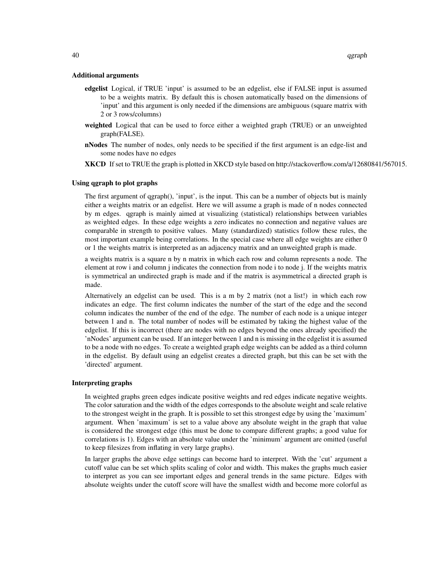#### Additional arguments

- edgelist Logical, if TRUE 'input' is assumed to be an edgelist, else if FALSE input is assumed to be a weights matrix. By default this is chosen automatically based on the dimensions of 'input' and this argument is only needed if the dimensions are ambiguous (square matrix with 2 or 3 rows/columns)
- weighted Logical that can be used to force either a weighted graph (TRUE) or an unweighted graph(FALSE).
- nNodes The number of nodes, only needs to be specified if the first argument is an edge-list and some nodes have no edges
- XKCD If set to TRUE the graph is plotted in XKCD style based on http://stackoverflow.com/a/12680841/567015.

#### Using qgraph to plot graphs

The first argument of qgraph(), 'input', is the input. This can be a number of objects but is mainly either a weights matrix or an edgelist. Here we will assume a graph is made of n nodes connected by m edges. qgraph is mainly aimed at visualizing (statistical) relationships between variables as weighted edges. In these edge weights a zero indicates no connection and negative values are comparable in strength to positive values. Many (standardized) statistics follow these rules, the most important example being correlations. In the special case where all edge weights are either 0 or 1 the weights matrix is interpreted as an adjacency matrix and an unweighted graph is made.

a weights matrix is a square n by n matrix in which each row and column represents a node. The element at row i and column j indicates the connection from node i to node j. If the weights matrix is symmetrical an undirected graph is made and if the matrix is asymmetrical a directed graph is made.

Alternatively an edgelist can be used. This is a m by 2 matrix (not a list!) in which each row indicates an edge. The first column indicates the number of the start of the edge and the second column indicates the number of the end of the edge. The number of each node is a unique integer between 1 and n. The total number of nodes will be estimated by taking the highest value of the edgelist. If this is incorrect (there are nodes with no edges beyond the ones already specified) the 'nNodes' argument can be used. If an integer between 1 and n is missing in the edgelist it is assumed to be a node with no edges. To create a weighted graph edge weights can be added as a third column in the edgelist. By default using an edgelist creates a directed graph, but this can be set with the 'directed' argument.

#### Interpreting graphs

In weighted graphs green edges indicate positive weights and red edges indicate negative weights. The color saturation and the width of the edges corresponds to the absolute weight and scale relative to the strongest weight in the graph. It is possible to set this strongest edge by using the 'maximum' argument. When 'maximum' is set to a value above any absolute weight in the graph that value is considered the strongest edge (this must be done to compare different graphs; a good value for correlations is 1). Edges with an absolute value under the 'minimum' argument are omitted (useful to keep filesizes from inflating in very large graphs).

In larger graphs the above edge settings can become hard to interpret. With the 'cut' argument a cutoff value can be set which splits scaling of color and width. This makes the graphs much easier to interpret as you can see important edges and general trends in the same picture. Edges with absolute weights under the cutoff score will have the smallest width and become more colorful as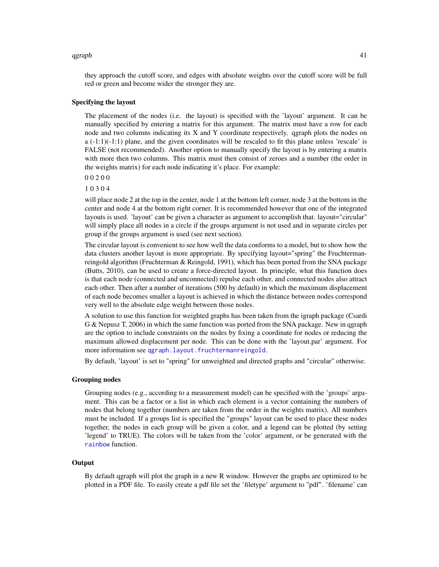#### <span id="page-40-0"></span>qgraph and the contract of the contract of the contract of the contract of the contract of the contract of the contract of the contract of the contract of the contract of the contract of the contract of the contract of the

they approach the cutoff score, and edges with absolute weights over the cutoff score will be full red or green and become wider the stronger they are.

#### Specifying the layout

The placement of the nodes (i.e. the layout) is specified with the 'layout' argument. It can be manually specified by entering a matrix for this argument. The matrix must have a row for each node and two columns indicating its X and Y coordinate respectively. qgraph plots the nodes on  $a$  (-1:1)(-1:1) plane, and the given coordinates will be rescaled to fit this plane unless 'rescale' is FALSE (not recommended). Another option to manually specify the layout is by entering a matrix with more then two columns. This matrix must then consist of zeroes and a number (the order in the weights matrix) for each node indicating it's place. For example:

0 0 2 0 0

1 0 3 0 4

will place node 2 at the top in the center, node 1 at the bottom left corner, node 3 at the bottom in the center and node 4 at the bottom right corner. It is recommended however that one of the integrated layouts is used. 'layout' can be given a character as argument to accomplish that. layout="circular" will simply place all nodes in a circle if the groups argument is not used and in separate circles per group if the groups argument is used (see next section).

The circular layout is convenient to see how well the data conforms to a model, but to show how the data clusters another layout is more appropriate. By specifying layout="spring" the Fruchtermanreingold algorithm (Fruchterman & Reingold, 1991), which has been ported from the SNA package (Butts, 2010), can be used to create a force-directed layout. In principle, what this function does is that each node (connected and unconnected) repulse each other, and connected nodes also attract each other. Then after a number of iterations (500 by default) in which the maximum displacement of each node becomes smaller a layout is achieved in which the distance between nodes correspond very well to the absolute edge weight between those nodes.

A solution to use this function for weighted graphs has been taken from the igraph package (Csardi G & Nepusz T, 2006) in which the same function was ported from the SNA package. New in qgraph are the option to include constraints on the nodes by fixing a coordinate for nodes or reducing the maximum allowed displacement per node. This can be done with the 'layout.par' argument. For more information see [qgraph.layout.fruchtermanreingold](#page-49-1).

By default, 'layout' is set to "spring" for unweighted and directed graphs and "circular" otherwise.

#### Grouping nodes

Grouping nodes (e.g., according to a measurement model) can be specified with the 'groups' argument. This can be a factor or a list in which each element is a vector containing the numbers of nodes that belong together (numbers are taken from the order in the weights matrix). All numbers must be included. If a groups list is specified the "groups" layout can be used to place these nodes together, the nodes in each group will be given a color, and a legend can be plotted (by setting 'legend' to TRUE). The colors will be taken from the 'color' argument, or be generated with the [rainbow](#page-0-0) function.

#### **Output**

By default qgraph will plot the graph in a new R window. However the graphs are optimized to be plotted in a PDF file. To easily create a pdf file set the 'filetype' argument to "pdf". 'filename' can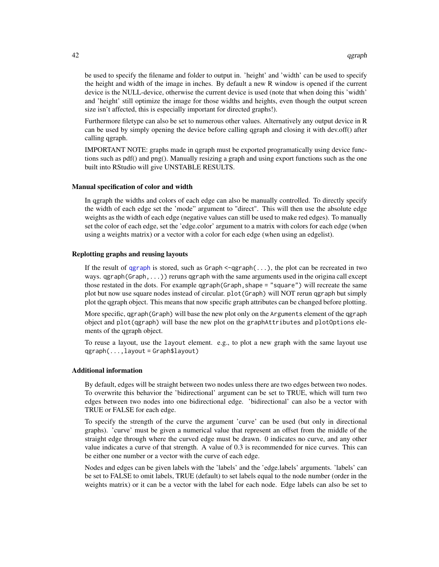<span id="page-41-0"></span>be used to specify the filename and folder to output in. 'height' and 'width' can be used to specify the height and width of the image in inches. By default a new R window is opened if the current device is the NULL-device, otherwise the current device is used (note that when doing this 'width' and 'height' still optimize the image for those widths and heights, even though the output screen size isn't affected, this is especially important for directed graphs!).

Furthermore filetype can also be set to numerous other values. Alternatively any output device in R can be used by simply opening the device before calling qgraph and closing it with dev.off() after calling qgraph.

IMPORTANT NOTE: graphs made in qgraph must be exported programatically using device functions such as pdf() and png(). Manually resizing a graph and using export functions such as the one built into RStudio will give UNSTABLE RESULTS.

#### Manual specification of color and width

In qgraph the widths and colors of each edge can also be manually controlled. To directly specify the width of each edge set the 'mode" argument to "direct". This will then use the absolute edge weights as the width of each edge (negative values can still be used to make red edges). To manually set the color of each edge, set the 'edge.color' argument to a matrix with colors for each edge (when using a weights matrix) or a vector with a color for each edge (when using an edgelist).

#### Replotting graphs and reusing layouts

If the result of [qgraph](#page-28-1) is stored, such as Graph  $\leq$ -qgraph $(\ldots)$ , the plot can be recreated in two ways.  $qgraph(Graph, \ldots)$  reruns qgraph with the same arguments used in the origina call except those restated in the dots. For example qgraph(Graph,shape = "square") will recreate the same plot but now use square nodes instead of circular. plot(Graph) will NOT rerun qgraph but simply plot the qgraph object. This means that now specific graph attributes can be changed before plotting.

More specific, qgraph(Graph) will base the new plot only on the Arguments element of the qgraph object and plot(qgraph) will base the new plot on the graphAttributes and plotOptions elements of the qgraph object.

To reuse a layout, use the layout element. e.g., to plot a new graph with the same layout use qgraph(...,layout = Graph\$layout)

#### Additional information

By default, edges will be straight between two nodes unless there are two edges between two nodes. To overwrite this behavior the 'bidirectional' argument can be set to TRUE, which will turn two edges between two nodes into one bidirectional edge. 'bidirectional' can also be a vector with TRUE or FALSE for each edge.

To specify the strength of the curve the argument 'curve' can be used (but only in directional graphs). 'curve' must be given a numerical value that represent an offset from the middle of the straight edge through where the curved edge must be drawn. 0 indicates no curve, and any other value indicates a curve of that strength. A value of 0.3 is recommended for nice curves. This can be either one number or a vector with the curve of each edge.

Nodes and edges can be given labels with the 'labels' and the 'edge.labels' arguments. 'labels' can be set to FALSE to omit labels, TRUE (default) to set labels equal to the node number (order in the weights matrix) or it can be a vector with the label for each node. Edge labels can also be set to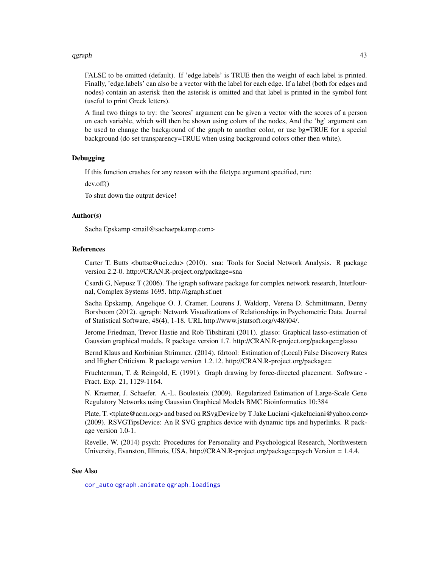#### <span id="page-42-0"></span>qgraph and the contract of the contract of the contract of the contract of the contract of the contract of the contract of the contract of the contract of the contract of the contract of the contract of the contract of the

FALSE to be omitted (default). If 'edge.labels' is TRUE then the weight of each label is printed. Finally, 'edge.labels' can also be a vector with the label for each edge. If a label (both for edges and nodes) contain an asterisk then the asterisk is omitted and that label is printed in the symbol font (useful to print Greek letters).

A final two things to try: the 'scores' argument can be given a vector with the scores of a person on each variable, which will then be shown using colors of the nodes, And the 'bg' argument can be used to change the background of the graph to another color, or use bg=TRUE for a special background (do set transparency=TRUE when using background colors other then white).

#### Debugging

If this function crashes for any reason with the filetype argument specified, run:

dev.off()

To shut down the output device!

#### Author(s)

Sacha Epskamp <mail@sachaepskamp.com>

#### References

Carter T. Butts <br/>cbuttsc@uci.edu> (2010). sna: Tools for Social Network Analysis. R package version 2.2-0. http://CRAN.R-project.org/package=sna

Csardi G, Nepusz T (2006). The igraph software package for complex network research, InterJournal, Complex Systems 1695. http://igraph.sf.net

Sacha Epskamp, Angelique O. J. Cramer, Lourens J. Waldorp, Verena D. Schmittmann, Denny Borsboom (2012). qgraph: Network Visualizations of Relationships in Psychometric Data. Journal of Statistical Software, 48(4), 1-18. URL http://www.jstatsoft.org/v48/i04/.

Jerome Friedman, Trevor Hastie and Rob Tibshirani (2011). glasso: Graphical lasso-estimation of Gaussian graphical models. R package version 1.7. http://CRAN.R-project.org/package=glasso

Bernd Klaus and Korbinian Strimmer. (2014). fdrtool: Estimation of (Local) False Discovery Rates and Higher Criticism. R package version 1.2.12. http://CRAN.R-project.org/package=

Fruchterman, T. & Reingold, E. (1991). Graph drawing by force-directed placement. Software - Pract. Exp. 21, 1129-1164.

N. Kraemer, J. Schaefer. A.-L. Boulesteix (2009). Regularized Estimation of Large-Scale Gene Regulatory Networks using Gaussian Graphical Models BMC Bioinformatics 10:384

Plate, T. <tplate@acm.org> and based on RSvgDevice by T Jake Luciani <jakeluciani@yahoo.com> (2009). RSVGTipsDevice: An R SVG graphics device with dynamic tips and hyperlinks. R package version 1.0-1.

Revelle, W. (2014) psych: Procedures for Personality and Psychological Research, Northwestern University, Evanston, Illinois, USA, http://CRAN.R-project.org/package=psych Version = 1.4.4.

#### See Also

[cor\\_auto](#page-12-1) [qgraph.animate](#page-45-1) [qgraph.loadings](#page-51-1)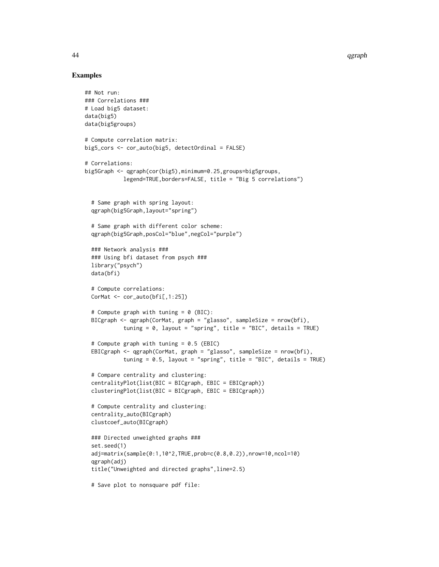#### Examples

```
## Not run:
### Correlations ###
# Load big5 dataset:
data(big5)
data(big5groups)
# Compute correlation matrix:
big5_cors <- cor_auto(big5, detectOrdinal = FALSE)
# Correlations:
big5Graph <- qgraph(cor(big5),minimum=0.25,groups=big5groups,
            legend=TRUE,borders=FALSE, title = "Big 5 correlations")
 # Same graph with spring layout:
 qgraph(big5Graph,layout="spring")
 # Same graph with different color scheme:
 qgraph(big5Graph,posCol="blue",negCol="purple")
 ### Network analysis ###
 ### Using bfi dataset from psych ###
 library("psych")
 data(bfi)
 # Compute correlations:
 CorMat \leq cor_auto(bfi[,1:25])
 # Compute graph with tuning = 0 (BIC):
 BICgraph <- qgraph(CorMat, graph = "glasso", sampleSize = nrow(bfi),
            tuning = 0, layout = "spring", title = "BIC", details = TRUE)
 # Compute graph with tuning = 0.5 (EBIC)
 EBICgraph <- qgraph(CorMat, graph = "glasso", sampleSize = nrow(bfi),
            tuning = 0.5, layout = "spring", title = "BIC", details = TRUE)
 # Compare centrality and clustering:
 centralityPlot(list(BIC = BICgraph, EBIC = EBICgraph))
 clusteringPlot(list(BIC = BICgraph, EBIC = EBICgraph))
 # Compute centrality and clustering:
 centrality_auto(BICgraph)
 clustcoef_auto(BICgraph)
 ### Directed unweighted graphs ###
 set.seed(1)
 adj=matrix(sample(0:1,10^2,TRUE,prob=c(0.8,0.2)),nrow=10,ncol=10)
 qgraph(adj)
 title("Unweighted and directed graphs",line=2.5)
 # Save plot to nonsquare pdf file:
```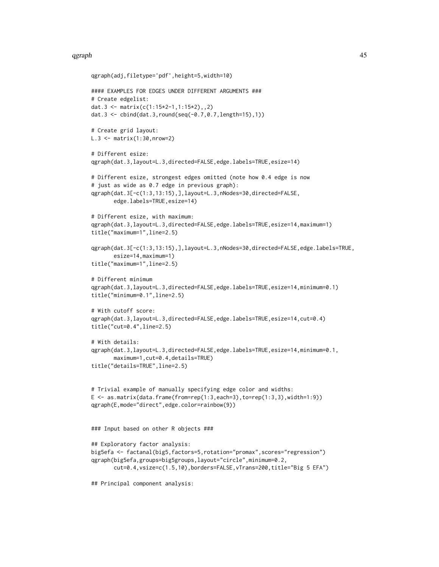#### qgraph and the contract of the contract of the contract of the contract of the contract of the contract of the contract of the contract of the contract of the contract of the contract of the contract of the contract of the

```
qgraph(adj,filetype='pdf',height=5,width=10)
#### EXAMPLES FOR EDGES UNDER DIFFERENT ARGUMENTS ###
# Create edgelist:
dat.3 <- matrix(c(1:15*2-1,1:15*2),,2)
dat.3 <- cbind(dat.3,round(seq(-0.7,0.7,length=15),1))
# Create grid layout:
L.3 \leq - matrix(1:30, nrow=2)# Different esize:
qgraph(dat.3,layout=L.3,directed=FALSE,edge.labels=TRUE,esize=14)
# Different esize, strongest edges omitted (note how 0.4 edge is now
# just as wide as 0.7 edge in previous graph):
qgraph(dat.3[-c(1:3,13:15),],layout=L.3,nNodes=30,directed=FALSE,
       edge.labels=TRUE,esize=14)
# Different esize, with maximum:
qgraph(dat.3,layout=L.3,directed=FALSE,edge.labels=TRUE,esize=14,maximum=1)
title("maximum=1",line=2.5)
qgraph(dat.3[-c(1:3,13:15),],layout=L.3,nNodes=30,directed=FALSE,edge.labels=TRUE,
       esize=14,maximum=1)
title("maximum=1",line=2.5)
# Different minimum
qgraph(dat.3,layout=L.3,directed=FALSE,edge.labels=TRUE,esize=14,minimum=0.1)
title("minimum=0.1",line=2.5)
# With cutoff score:
qgraph(dat.3,layout=L.3,directed=FALSE,edge.labels=TRUE,esize=14,cut=0.4)
title("cut=0.4",line=2.5)
# With details:
qgraph(dat.3,layout=L.3,directed=FALSE,edge.labels=TRUE,esize=14,minimum=0.1,
       maximum=1,cut=0.4,details=TRUE)
title("details=TRUE",line=2.5)
# Trivial example of manually specifying edge color and widths:
E \leftarrow as.matrix(data.fname(from=rep(1:3,each=3),to=rep(1:3,3),width=1:9))qgraph(E,mode="direct",edge.color=rainbow(9))
### Input based on other R objects ###
## Exploratory factor analysis:
big5efa <- factanal(big5,factors=5,rotation="promax",scores="regression")
qgraph(big5efa,groups=big5groups,layout="circle",minimum=0.2,
       cut=0.4,vsize=c(1.5,10),borders=FALSE,vTrans=200,title="Big 5 EFA")
## Principal component analysis:
```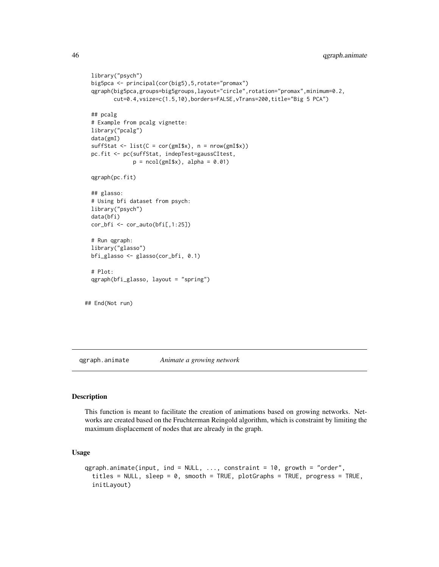```
library("psych")
 big5pca <- principal(cor(big5),5,rotate="promax")
 qgraph(big5pca,groups=big5groups,layout="circle",rotation="promax",minimum=0.2,
         cut=0.4,vsize=c(1.5,10),borders=FALSE,vTrans=200,title="Big 5 PCA")
 ## pcalg
 # Example from pcalg vignette:
 library("pcalg")
 data(gmI)
 sufficient \leftarrow list(C = cor(gmI$x), n = nrow(gmI$x))
 pc.fit <- pc(suffStat, indepTest=gaussCItest,
               p = ncol(gmI$x), alpha = 0.01)
 qgraph(pc.fit)
 ## glasso:
 # Using bfi dataset from psych:
 library("psych")
 data(bfi)
 cor_bfi <- cor_auto(bfi[,1:25])
 # Run qgraph:
 library("glasso")
 bfi_glasso <- glasso(cor_bfi, 0.1)
 # Plot:
 qgraph(bfi_glasso, layout = "spring")
## End(Not run)
```
<span id="page-45-1"></span>qgraph.animate *Animate a growing network*

#### Description

This function is meant to facilitate the creation of animations based on growing networks. Networks are created based on the Fruchterman Reingold algorithm, which is constraint by limiting the maximum displacement of nodes that are already in the graph.

#### Usage

```
qgraph.animate(input, ind = NULL, ..., constraint = 10, growth = "order",
  titles = NULL, sleep = 0, smooth = TRUE, plotGraphs = TRUE, progress = TRUE,
  initLayout)
```
<span id="page-45-0"></span>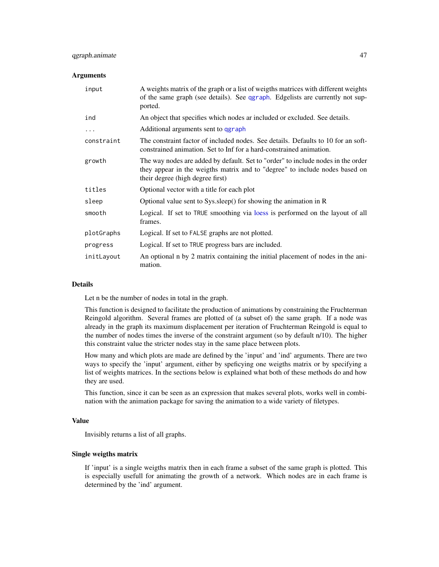#### <span id="page-46-0"></span>qgraph.animate 47

#### **Arguments**

| input      | A weights matrix of the graph or a list of weigths matrices with different weights<br>of the same graph (see details). See qgraph. Edgelists are currently not sup-<br>ported.                      |
|------------|-----------------------------------------------------------------------------------------------------------------------------------------------------------------------------------------------------|
| ind        | An object that specifies which nodes ar included or excluded. See details.                                                                                                                          |
| .          | Additional arguments sent to qgraph                                                                                                                                                                 |
| constraint | The constraint factor of included nodes. See details. Defaults to 10 for an soft-<br>constrained animation. Set to Inf for a hard-constrained animation.                                            |
| growth     | The way nodes are added by default. Set to "order" to include nodes in the order<br>they appear in the weigths matrix and to "degree" to include nodes based on<br>their degree (high degree first) |
| titles     | Optional vector with a title for each plot                                                                                                                                                          |
| sleep      | Optional value sent to Sys.sleep() for showing the animation in R                                                                                                                                   |
| smooth     | Logical. If set to TRUE smoothing via loess is performed on the layout of all<br>frames.                                                                                                            |
| plotGraphs | Logical. If set to FALSE graphs are not plotted.                                                                                                                                                    |
| progress   | Logical. If set to TRUE progress bars are included.                                                                                                                                                 |
| initLayout | An optional n by 2 matrix containing the initial placement of nodes in the ani-<br>mation.                                                                                                          |

#### Details

Let n be the number of nodes in total in the graph.

This function is designed to facilitate the production of animations by constraining the Fruchterman Reingold algorithm. Several frames are plotted of (a subset of) the same graph. If a node was already in the graph its maximum displacement per iteration of Fruchterman Reingold is equal to the number of nodes times the inverse of the constraint argument (so by default n/10). The higher this constraint value the stricter nodes stay in the same place between plots.

How many and which plots are made are defined by the 'input' and 'ind' arguments. There are two ways to specify the 'input' argument, either by speficying one weigths matrix or by specifying a list of weights matrices. In the sections below is explained what both of these methods do and how they are used.

This function, since it can be seen as an expression that makes several plots, works well in combination with the animation package for saving the animation to a wide variety of filetypes.

#### Value

Invisibly returns a list of all graphs.

#### Single weigths matrix

If 'input' is a single weigths matrix then in each frame a subset of the same graph is plotted. This is especially usefull for animating the growth of a network. Which nodes are in each frame is determined by the 'ind' argument.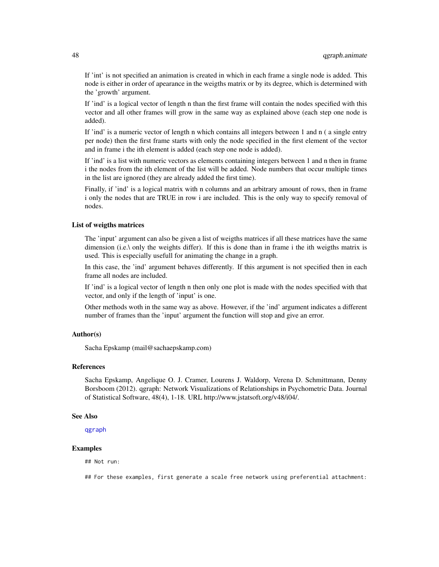<span id="page-47-0"></span>If 'int' is not specified an animation is created in which in each frame a single node is added. This node is either in order of apearance in the weigths matrix or by its degree, which is determined with the 'growth' argument.

If 'ind' is a logical vector of length n than the first frame will contain the nodes specified with this vector and all other frames will grow in the same way as explained above (each step one node is added).

If 'ind' is a numeric vector of length n which contains all integers between 1 and n ( a single entry per node) then the first frame starts with only the node specified in the first element of the vector and in frame i the ith element is added (each step one node is added).

If 'ind' is a list with numeric vectors as elements containing integers between 1 and n then in frame i the nodes from the ith element of the list will be added. Node numbers that occur multiple times in the list are ignored (they are already added the first time).

Finally, if 'ind' is a logical matrix with n columns and an arbitrary amount of rows, then in frame i only the nodes that are TRUE in row i are included. This is the only way to specify removal of nodes.

#### List of weigths matrices

The 'input' argument can also be given a list of weigths matrices if all these matrices have the same dimension (i.e.\ only the weights differ). If this is done than in frame i the ith weigths matrix is used. This is especially usefull for animating the change in a graph.

In this case, the 'ind' argument behaves differently. If this argument is not specified then in each frame all nodes are included.

If 'ind' is a logical vector of length n then only one plot is made with the nodes specified with that vector, and only if the length of 'input' is one.

Other methods woth in the same way as above. However, if the 'ind' argument indicates a different number of frames than the 'input' argument the function will stop and give an error.

#### Author(s)

Sacha Epskamp (mail@sachaepskamp.com)

#### References

Sacha Epskamp, Angelique O. J. Cramer, Lourens J. Waldorp, Verena D. Schmittmann, Denny Borsboom (2012). qgraph: Network Visualizations of Relationships in Psychometric Data. Journal of Statistical Software, 48(4), 1-18. URL http://www.jstatsoft.org/v48/i04/.

#### See Also

[qgraph](#page-28-1)

#### Examples

## Not run:

## For these examples, first generate a scale free network using preferential attachment: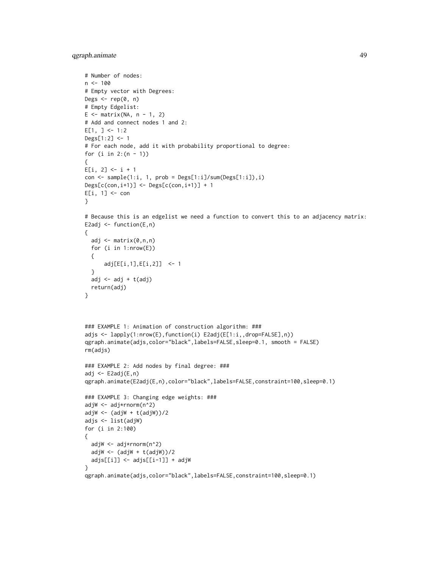qgraph.animate 49

```
# Number of nodes:
n < -100# Empty vector with Degrees:
Degs \leq rep(0, n)
# Empty Edgelist:
E \le - matrix(NA, n - 1, 2)
# Add and connect nodes 1 and 2:
E[1, ] < -1:2Degs[1:2] <- 1
# For each node, add it with probability proportional to degree:
for (i in 2:(n - 1)){
E[i, 2] < -i + 1con \leq sample(1:i, 1, prob = Degs[1:i]/sum(Degs[1:i]),i)
DesignC(con,i+1)] \leftarrow Degs[C(con,i+1)] + 1E[i, 1] <- con
}
```

```
# Because this is an edgelist we need a function to convert this to an adjacency matrix:
E2adj \leq function(E,n)
```

```
{
  adj \leq matrix(0,n,n)
  for (i in 1:nrow(E))
  {
      adj[E[i,1],E[i,2]] <- 1
  }
  adj \leftarrow adj + t(adj)
  return(adj)
}
```

```
### EXAMPLE 1: Animation of construction algorithm: ###
adjs <- lapply(1:nrow(E),function(i) E2adj(E[1:i,,drop=FALSE],n))
qgraph.animate(adjs,color="black",labels=FALSE,sleep=0.1, smooth = FALSE)
rm(adjs)
### EXAMPLE 2: Add nodes by final degree: ###
```

```
adj <- E2adj(E,n)
qgraph.animate(E2adj(E,n),color="black",labels=FALSE,constraint=100,sleep=0.1)
### EXAMPLE 3: Changing edge weights: ###
adjW <- adj*rnorm(n^2)
adjW <- (adjW + t(adjW))/2
```

```
adjs <- list(adjW)
for (i in 2:100)
{
 adjW <- adj*rnorm(n^2)
```
}

```
adjW \leftarrow (adjW + t(adjW))/2
adjs[[i]] <- adjs[[i-1]] + adjW
```

```
qgraph.animate(adjs,color="black",labels=FALSE,constraint=100,sleep=0.1)
```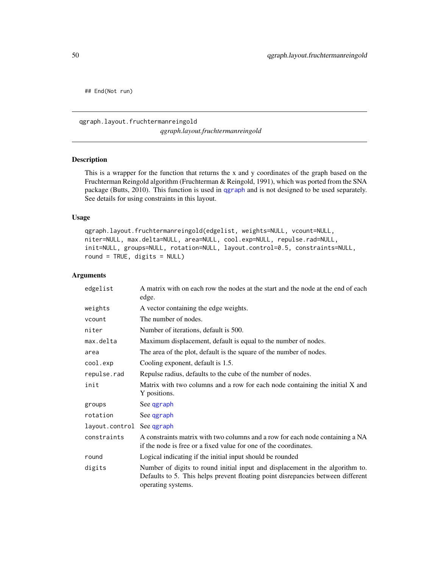<span id="page-49-0"></span>## End(Not run)

#### <span id="page-49-1"></span>qgraph.layout.fruchtermanreingold *qgraph.layout.fruchtermanreingold*

#### Description

This is a wrapper for the function that returns the x and y coordinates of the graph based on the Fruchterman Reingold algorithm (Fruchterman & Reingold, 1991), which was ported from the SNA package (Butts, 2010). This function is used in [qgraph](#page-28-1) and is not designed to be used separately. See details for using constraints in this layout.

#### Usage

```
qgraph.layout.fruchtermanreingold(edgelist, weights=NULL, vcount=NULL,
niter=NULL, max.delta=NULL, area=NULL, cool.exp=NULL, repulse.rad=NULL,
init=NULL, groups=NULL, rotation=NULL, layout.control=0.5, constraints=NULL,
round = TRUE, digits = NULL)
```
#### Arguments

| edgelist                  | A matrix with on each row the nodes at the start and the node at the end of each<br>edge.                                                                                              |
|---------------------------|----------------------------------------------------------------------------------------------------------------------------------------------------------------------------------------|
| weights                   | A vector containing the edge weights.                                                                                                                                                  |
| vcount                    | The number of nodes.                                                                                                                                                                   |
| niter                     | Number of iterations, default is 500.                                                                                                                                                  |
| max.delta                 | Maximum displacement, default is equal to the number of nodes.                                                                                                                         |
| area                      | The area of the plot, default is the square of the number of nodes.                                                                                                                    |
| cool.exp                  | Cooling exponent, default is 1.5.                                                                                                                                                      |
| repulse.rad               | Repulse radius, defaults to the cube of the number of nodes.                                                                                                                           |
| init                      | Matrix with two columns and a row for each node containing the initial $X$ and<br>Y positions.                                                                                         |
| groups                    | See qgraph                                                                                                                                                                             |
| rotation                  | See qgraph                                                                                                                                                                             |
| layout.control See qgraph |                                                                                                                                                                                        |
| constraints               | A constraints matrix with two columns and a row for each node containing a NA<br>if the node is free or a fixed value for one of the coordinates.                                      |
| round                     | Logical indicating if the initial input should be rounded                                                                                                                              |
| digits                    | Number of digits to round initial input and displacement in the algorithm to.<br>Defaults to 5. This helps prevent floating point disrepancies between different<br>operating systems. |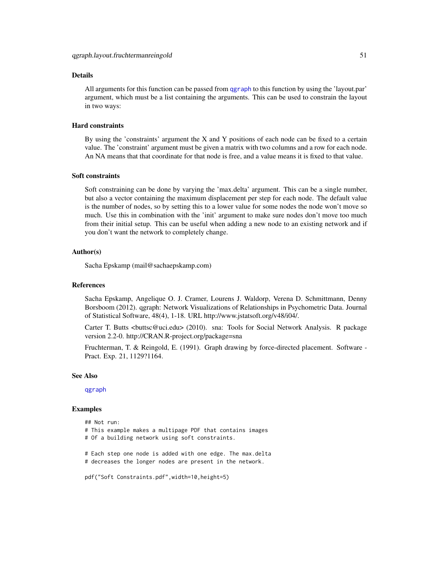#### Details

All arguments for this function can be passed from [qgraph](#page-28-1) to this function by using the 'layout.par' argument, which must be a list containing the arguments. This can be used to constrain the layout in two ways:

#### Hard constraints

By using the 'constraints' argument the X and Y positions of each node can be fixed to a certain value. The 'constraint' argument must be given a matrix with two columns and a row for each node. An NA means that that coordinate for that node is free, and a value means it is fixed to that value.

#### Soft constraints

Soft constraining can be done by varying the 'max.delta' argument. This can be a single number, but also a vector containing the maximum displacement per step for each node. The default value is the number of nodes, so by setting this to a lower value for some nodes the node won't move so much. Use this in combination with the 'init' argument to make sure nodes don't move too much from their initial setup. This can be useful when adding a new node to an existing network and if you don't want the network to completely change.

#### Author(s)

Sacha Epskamp (mail@sachaepskamp.com)

#### References

Sacha Epskamp, Angelique O. J. Cramer, Lourens J. Waldorp, Verena D. Schmittmann, Denny Borsboom (2012). qgraph: Network Visualizations of Relationships in Psychometric Data. Journal of Statistical Software, 48(4), 1-18. URL http://www.jstatsoft.org/v48/i04/.

Carter T. Butts <br/>cbuttsc@uci.edu> (2010). sna: Tools for Social Network Analysis. R package version 2.2-0. http://CRAN.R-project.org/package=sna

Fruchterman, T. & Reingold, E. (1991). Graph drawing by force-directed placement. Software - Pract. Exp. 21, 1129?1164.

#### See Also

[qgraph](#page-28-1)

#### Examples

## Not run: # This example makes a multipage PDF that contains images # Of a building network using soft constraints. # Each step one node is added with one edge. The max.delta # decreases the longer nodes are present in the network.

pdf("Soft Constraints.pdf",width=10,height=5)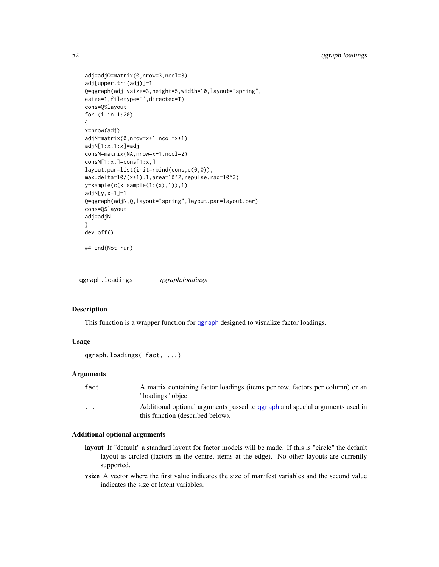```
adj=adjO=matrix(0,nrow=3,ncol=3)
adj[upper.tri(adj)]=1
Q=qgraph(adj,vsize=3,height=5,width=10,layout="spring",
esize=1,filetype='',directed=T)
cons=Q$layout
for (i in 1:20)
{
x=nrow(adj)
adjN=matrix(0,nrow=x+1,ncol=x+1)
adjN[1:x,1:x]=adj
consN=matrix(NA,nrow=x+1,ncol=2)
consN[1:x,]=cons[1:x,]
layout.par=list(init=rbind(cons,c(0,0)),
max.delta=10/(x+1):1,area=10^2,repulse.rad=10^3)
y = sample(c(x, sample(1:(x),1)),1)adjN[y,x+1]=1
Q=qgraph(adjN,Q,layout="spring",layout.par=layout.par)
cons=Q$layout
adj=adjN
}
dev.off()
## End(Not run)
```
<span id="page-51-1"></span>qgraph.loadings *qgraph.loadings*

#### Description

This function is a wrapper function for [qgraph](#page-28-1) designed to visualize factor loadings.

#### Usage

```
qgraph.loadings( fact, ...)
```
#### Arguments

| fact     | A matrix containing factor loadings (items per row, factors per column) or an<br>"loadings" object               |
|----------|------------------------------------------------------------------------------------------------------------------|
| $\cdots$ | Additional optional arguments passed to ggraph and special arguments used in<br>this function (described below). |

#### Additional optional arguments

- layout If "default" a standard layout for factor models will be made. If this is "circle" the default layout is circled (factors in the centre, items at the edge). No other layouts are currently supported.
- **vsize** A vector where the first value indicates the size of manifest variables and the second value indicates the size of latent variables.

<span id="page-51-0"></span>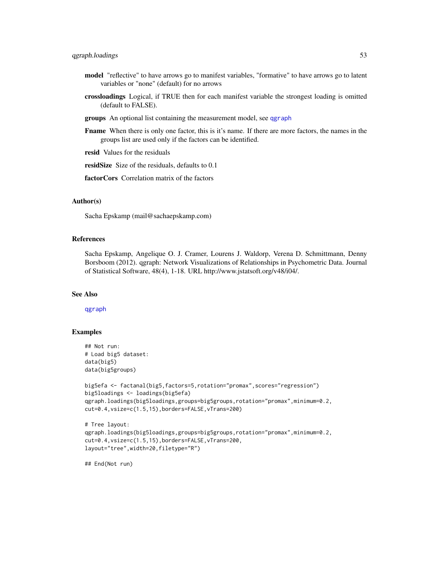- model "reflective" to have arrows go to manifest variables, "formative" to have arrows go to latent variables or "none" (default) for no arrows
- crossloadings Logical, if TRUE then for each manifest variable the strongest loading is omitted (default to FALSE).
- groups An optional list containing the measurement model, see [qgraph](#page-28-1)
- Fname When there is only one factor, this is it's name. If there are more factors, the names in the groups list are used only if the factors can be identified.

resid Values for the residuals

residSize Size of the residuals, defaults to 0.1

factorCors Correlation matrix of the factors

#### Author(s)

Sacha Epskamp (mail@sachaepskamp.com)

#### References

Sacha Epskamp, Angelique O. J. Cramer, Lourens J. Waldorp, Verena D. Schmittmann, Denny Borsboom (2012). qgraph: Network Visualizations of Relationships in Psychometric Data. Journal of Statistical Software, 48(4), 1-18. URL http://www.jstatsoft.org/v48/i04/.

#### See Also

[qgraph](#page-28-1)

#### Examples

```
## Not run:
# Load big5 dataset:
data(big5)
data(big5groups)
```

```
big5efa <- factanal(big5,factors=5,rotation="promax",scores="regression")
big5loadings <- loadings(big5efa)
qgraph.loadings(big5loadings,groups=big5groups,rotation="promax",minimum=0.2,
cut=0.4,vsize=c(1.5,15),borders=FALSE,vTrans=200)
```

```
# Tree layout:
qgraph.loadings(big5loadings,groups=big5groups,rotation="promax",minimum=0.2,
cut=0.4,vsize=c(1.5,15),borders=FALSE,vTrans=200,
layout="tree",width=20,filetype="R")
```
## End(Not run)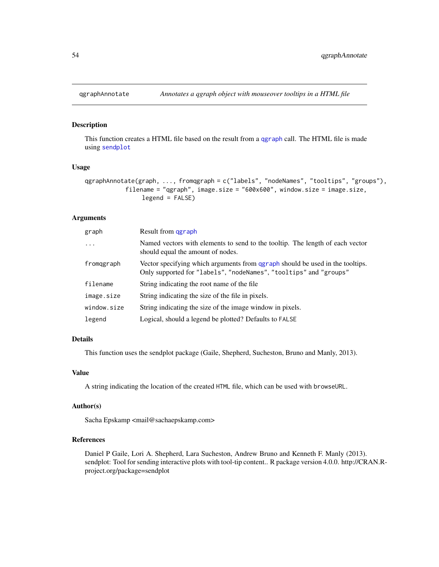<span id="page-53-0"></span>

#### Description

This function creates a HTML file based on the result from a [qgraph](#page-28-1) call. The HTML file is made using [sendplot](#page-0-0)

#### Usage

```
qgraphAnnotate(graph, ..., fromqgraph = c("labels", "nodeNames", "tooltips", "groups"),
           filename = "qgraph", image.size = "600x600", window.size = image.size,
                legend = FALSE)
```
#### Arguments

| graph       | Result from ggraph                                                                                                                                 |
|-------------|----------------------------------------------------------------------------------------------------------------------------------------------------|
| $\ddots$ .  | Named vectors with elements to send to the tooltip. The length of each vector<br>should equal the amount of nodes.                                 |
| fromagraph  | Vector specifying which arguments from qgraph should be used in the tooltips.<br>Only supported for "labels", "nodeNames", "tooltips" and "groups" |
| filename    | String indicating the root name of the file.                                                                                                       |
| image.size  | String indicating the size of the file in pixels.                                                                                                  |
| window.size | String indicating the size of the image window in pixels.                                                                                          |
| legend      | Logical, should a legend be plotted? Defaults to FALSE                                                                                             |

### Details

This function uses the sendplot package (Gaile, Shepherd, Sucheston, Bruno and Manly, 2013).

#### Value

A string indicating the location of the created HTML file, which can be used with browseURL.

#### Author(s)

Sacha Epskamp <mail@sachaepskamp.com>

#### References

Daniel P Gaile, Lori A. Shepherd, Lara Sucheston, Andrew Bruno and Kenneth F. Manly (2013). sendplot: Tool for sending interactive plots with tool-tip content.. R package version 4.0.0. http://CRAN.Rproject.org/package=sendplot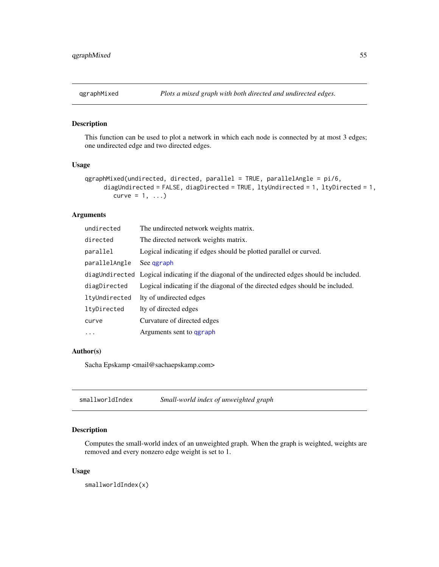<span id="page-54-0"></span>

#### Description

This function can be used to plot a network in which each node is connected by at most 3 edges; one undirected edge and two directed edges.

#### Usage

```
qgraphMixed(undirected, directed, parallel = TRUE, parallelAngle = pi/6,diagUndirected = FALSE, diagDirected = TRUE, ltyUndirected = 1, ltyDirected = 1,
        curve = 1, ...)
```
#### Arguments

| undirected    | The undirected network weights matrix.                                                        |
|---------------|-----------------------------------------------------------------------------------------------|
| directed      | The directed network weights matrix.                                                          |
| parallel      | Logical indicating if edges should be plotted parallel or curved.                             |
| parallelAngle | See ggraph                                                                                    |
|               | diagUndirected Logical indicating if the diagonal of the undirected edges should be included. |
| diagDirected  | Logical indicating if the diagonal of the directed edges should be included.                  |
| ltyUndirected | Ity of undirected edges                                                                       |
| ltyDirected   | Ity of directed edges                                                                         |
| curve         | Curvature of directed edges                                                                   |
| $\ddotsc$     | Arguments sent to qgraph                                                                      |
|               |                                                                                               |

#### Author(s)

Sacha Epskamp <mail@sachaepskamp.com>

smallworldIndex *Small-world index of unweighted graph*

#### Description

Computes the small-world index of an unweighted graph. When the graph is weighted, weights are removed and every nonzero edge weight is set to 1.

#### Usage

smallworldIndex(x)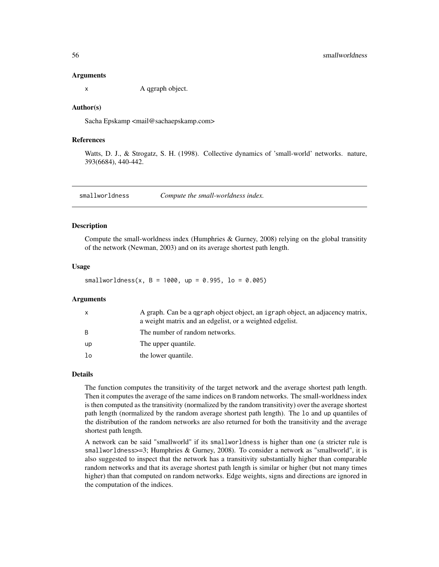#### Arguments

x A qgraph object.

#### Author(s)

Sacha Epskamp <mail@sachaepskamp.com>

#### References

Watts, D. J., & Strogatz, S. H. (1998). Collective dynamics of 'small-world' networks. nature, 393(6684), 440-442.

smallworldness *Compute the small-worldness index.*

#### **Description**

Compute the small-worldness index (Humphries & Gurney, 2008) relying on the global transitity of the network (Newman, 2003) and on its average shortest path length.

#### Usage

 $smallworldness(x, B = 1000, up = 0.995, lo = 0.005)$ 

#### **Arguments**

| X            | A graph. Can be a qgraph object object, an igraph object, an adjacency matrix,<br>a weight matrix and an edgelist, or a weighted edgelist. |
|--------------|--------------------------------------------------------------------------------------------------------------------------------------------|
| <sub>B</sub> | The number of random networks.                                                                                                             |
| up           | The upper quantile.                                                                                                                        |
| lo           | the lower quantile.                                                                                                                        |

#### Details

The function computes the transitivity of the target network and the average shortest path length. Then it computes the average of the same indices on B random networks. The small-worldness index is then computed as the transitivity (normalized by the random transitivity) over the average shortest path length (normalized by the random average shortest path length). The lo and up quantiles of the distribution of the random networks are also returned for both the transitivity and the average shortest path length.

A network can be said "smallworld" if its smallworldness is higher than one (a stricter rule is smallworldness>=3; Humphries & Gurney, 2008). To consider a network as "smallworld", it is also suggested to inspect that the network has a transitivity substantially higher than comparable random networks and that its average shortest path length is similar or higher (but not many times higher) than that computed on random networks. Edge weights, signs and directions are ignored in the computation of the indices.

<span id="page-55-0"></span>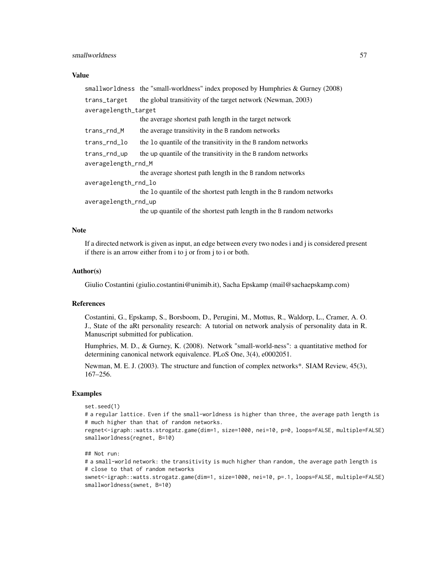#### smallworldness 57

#### Value

|                      | smallworldness the "small-worldness" index proposed by Humphries & Gurney (2008)                                                     |  |
|----------------------|--------------------------------------------------------------------------------------------------------------------------------------|--|
| trans_target         | the global transitivity of the target network (Newman, 2003)                                                                         |  |
| averagelength_target |                                                                                                                                      |  |
|                      | the average shortest path length in the target network                                                                               |  |
| trans_rnd_M          | the average transitivity in the B random networks                                                                                    |  |
| trans_rnd_lo         | the lo quantile of the transitivity in the B random networks                                                                         |  |
| trans_rnd_up         | the up quantile of the transitivity in the B random networks                                                                         |  |
| averagelength_rnd_M  |                                                                                                                                      |  |
|                      | the average shortest path length in the B random networks                                                                            |  |
| averagelength_rnd_lo |                                                                                                                                      |  |
|                      | the 1o quantile of the shortest path length in the B random networks                                                                 |  |
| averagelength_rnd_up |                                                                                                                                      |  |
|                      | $\mathcal{A}$ , and the contribution of the second contribution $\mathcal{A}$ , the $\mathcal{A}$ such that is a second contribution |  |

the up quantile of the shortest path length in the B random networks

#### Note

If a directed network is given as input, an edge between every two nodes i and j is considered present if there is an arrow either from i to j or from j to i or both.

#### Author(s)

Giulio Costantini (giulio.costantini@unimib.it), Sacha Epskamp (mail@sachaepskamp.com)

#### References

Costantini, G., Epskamp, S., Borsboom, D., Perugini, M., Mottus, R., Waldorp, L., Cramer, A. O. J., State of the aRt personality research: A tutorial on network analysis of personality data in R. Manuscript submitted for publication.

Humphries, M. D., & Gurney, K. (2008). Network "small-world-ness": a quantitative method for determining canonical network equivalence. PLoS One, 3(4), e0002051.

Newman, M. E. J. (2003). The structure and function of complex networks\*. SIAM Review, 45(3), 167–256.

#### Examples

```
set.seed(1)
```
# a regular lattice. Even if the small-worldness is higher than three, the average path length is # much higher than that of random networks.

regnet<-igraph::watts.strogatz.game(dim=1, size=1000, nei=10, p=0, loops=FALSE, multiple=FALSE) smallworldness(regnet, B=10)

#### ## Not run:

# a small-world network: the transitivity is much higher than random, the average path length is # close to that of random networks swnet<-igraph::watts.strogatz.game(dim=1, size=1000, nei=10, p=.1, loops=FALSE, multiple=FALSE) smallworldness(swnet, B=10)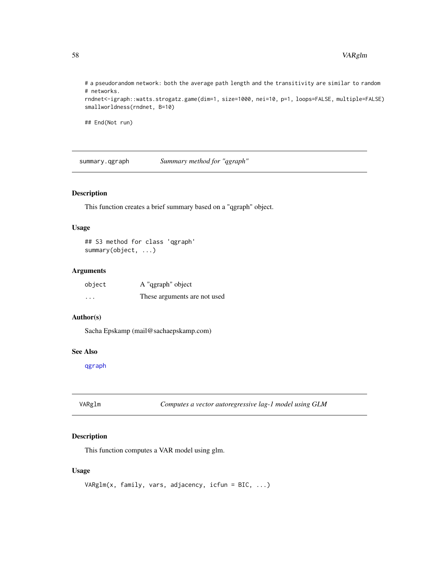# a pseudorandom network: both the average path length and the transitivity are similar to random # networks. rndnet<-igraph::watts.strogatz.game(dim=1, size=1000, nei=10, p=1, loops=FALSE, multiple=FALSE)

smallworldness(rndnet, B=10)

## End(Not run)

summary.qgraph *Summary method for "qgraph"*

#### Description

This function creates a brief summary based on a "qgraph" object.

#### Usage

```
## S3 method for class 'qgraph'
summary(object, ...)
```
#### Arguments

| object  | A "qgraph" object            |
|---------|------------------------------|
| $\cdot$ | These arguments are not used |

#### Author(s)

Sacha Epskamp (mail@sachaepskamp.com)

#### See Also

[qgraph](#page-28-1)

VARglm *Computes a vector autoregressive lag-1 model using GLM*

#### Description

This function computes a VAR model using glm.

#### Usage

```
VARglm(x, family, vars, adjacency, icfun = BIC, ...)
```
<span id="page-57-0"></span>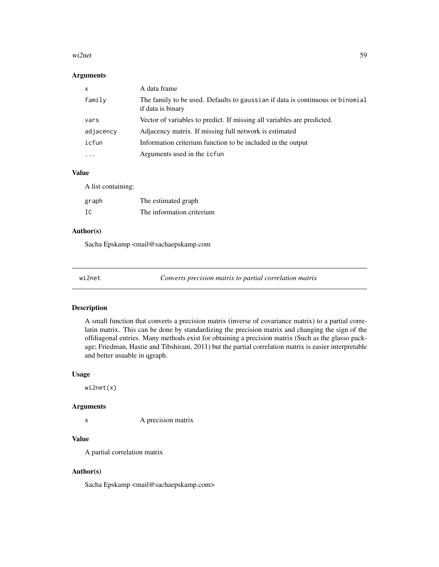#### <span id="page-58-0"></span>wi2net 59

#### Arguments

| X         | A data frame                                                                                       |
|-----------|----------------------------------------------------------------------------------------------------|
| family    | The family to be used. Defaults to gaussian if data is continuous or binomial<br>if data is binary |
| vars      | Vector of variables to predict. If missing all variables are predicted.                            |
| adjacency | Adjacency matrix. If missing full network is estimated                                             |
| icfun     | Information criterium function to be included in the output                                        |
| .         | Arguments used in the icfun                                                                        |

#### Value

A list containing:

| graph | The estimated graph       |
|-------|---------------------------|
| IC    | The information criterium |

### Author(s)

Sacha Epskamp <mail@sachaepskamp.com

<span id="page-58-1"></span>

wi2net *Converts precision matrix to partial correlation matrix*

#### Description

A small function that converts a precision matrix (inverse of covariance matrix) to a partial correlatin matrix. This can be done by standardizing the precision matrix and changing the sign of the offdiagonal entries. Many methods exist for obtaining a precision matrix (Such as the glasso package; Friedman, Hastie and Tibshirani, 2011) but the partial correlation matrix is easier interpretable and better usuable in qgraph.

#### Usage

wi2net(x)

#### Arguments

x A precision matrix

#### Value

A partial correlation matrix

#### Author(s)

Sacha Epskamp <mail@sachaepskamp.com>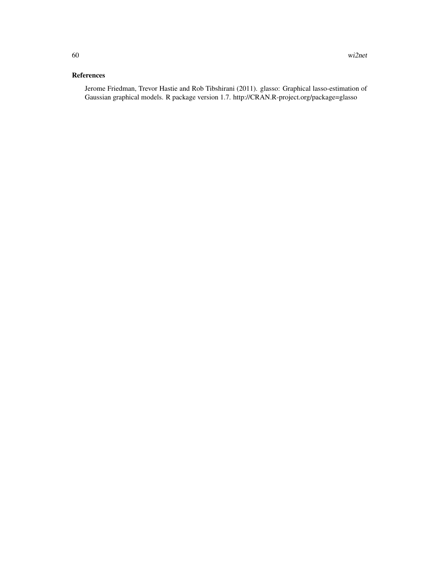### References

Jerome Friedman, Trevor Hastie and Rob Tibshirani (2011). glasso: Graphical lasso-estimation of Gaussian graphical models. R package version 1.7. http://CRAN.R-project.org/package=glasso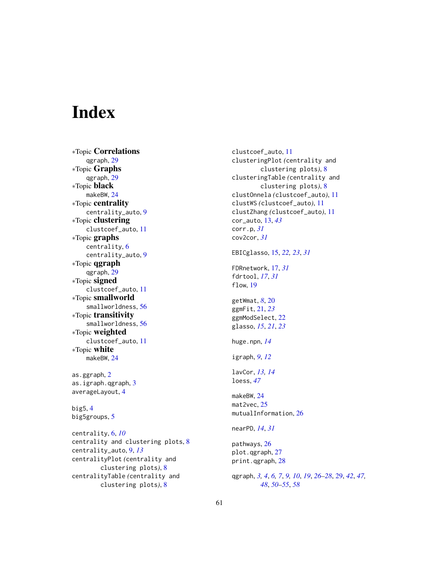# <span id="page-60-0"></span>Index

∗Topic Correlations qgraph, [29](#page-28-0) ∗Topic Graphs qgraph, [29](#page-28-0) ∗Topic black makeBW, [24](#page-23-0) ∗Topic centrality centrality\_auto, [9](#page-8-0) ∗Topic clustering clustcoef\_auto, [11](#page-10-0) ∗Topic graphs centrality, [6](#page-5-0) centrality\_auto, [9](#page-8-0) ∗Topic qgraph qgraph, [29](#page-28-0) ∗Topic signed clustcoef\_auto, [11](#page-10-0) ∗Topic smallworld smallworldness, [56](#page-55-0) ∗Topic transitivity smallworldness, [56](#page-55-0) ∗Topic weighted clustcoef\_auto, [11](#page-10-0) ∗Topic white makeBW, [24](#page-23-0)

as.ggraph, [2](#page-1-0) as.igraph.qgraph, [3](#page-2-0) averageLayout, [4](#page-3-0)

big5, [4](#page-3-0) big5groups, [5](#page-4-0)

centrality, [6,](#page-5-0) *[10](#page-9-0)* centrality and clustering plots, [8](#page-7-0) centrality\_auto, [9,](#page-8-0) *[13](#page-12-0)* centralityPlot *(*centrality and clustering plots*)*, [8](#page-7-0) centralityTable *(*centrality and clustering plots*)*, [8](#page-7-0)

clustcoef\_auto, [11](#page-10-0) clusteringPlot *(*centrality and clustering plots*)*, [8](#page-7-0) clusteringTable *(*centrality and clustering plots*)*, [8](#page-7-0) clustOnnela *(*clustcoef\_auto*)*, [11](#page-10-0) clustWS *(*clustcoef\_auto*)*, [11](#page-10-0) clustZhang *(*clustcoef\_auto*)*, [11](#page-10-0) cor\_auto, [13,](#page-12-0) *[43](#page-42-0)* corr.p, *[31](#page-30-0)* cov2cor, *[31](#page-30-0)* EBICglasso, [15,](#page-14-0) *[22,](#page-21-0) [23](#page-22-0)*, *[31](#page-30-0)* FDRnetwork, [17,](#page-16-0) *[31](#page-30-0)* fdrtool, *[17](#page-16-0)*, *[31](#page-30-0)* flow, [19](#page-18-0) getWmat, *[8](#page-7-0)*, [20](#page-19-0) ggmFit, [21,](#page-20-0) *[23](#page-22-0)* ggmModSelect, [22](#page-21-0) glasso, *[15](#page-14-0)*, *[21](#page-20-0)*, *[23](#page-22-0)* huge.npn, *[14](#page-13-0)* igraph, *[9](#page-8-0)*, *[12](#page-11-0)* lavCor, *[13,](#page-12-0) [14](#page-13-0)* loess, *[47](#page-46-0)* makeBW, [24](#page-23-0) mat2vec, [25](#page-24-0) mutualInformation, [26](#page-25-0) nearPD, *[14](#page-13-0)*, *[31](#page-30-0)* pathways, [26](#page-25-0) plot.qgraph, [27](#page-26-0) print.qgraph, [28](#page-27-0) qgraph, *[3,](#page-2-0) [4](#page-3-0)*, *[6,](#page-5-0) [7](#page-6-0)*, *[9,](#page-8-0) [10](#page-9-0)*, *[19](#page-18-0)*, *[26](#page-25-0)[–28](#page-27-0)*, [29,](#page-28-0) *[42](#page-41-0)*, *[47,](#page-46-0) [48](#page-47-0)*, *[50](#page-49-0)[–55](#page-54-0)*, *[58](#page-57-0)*